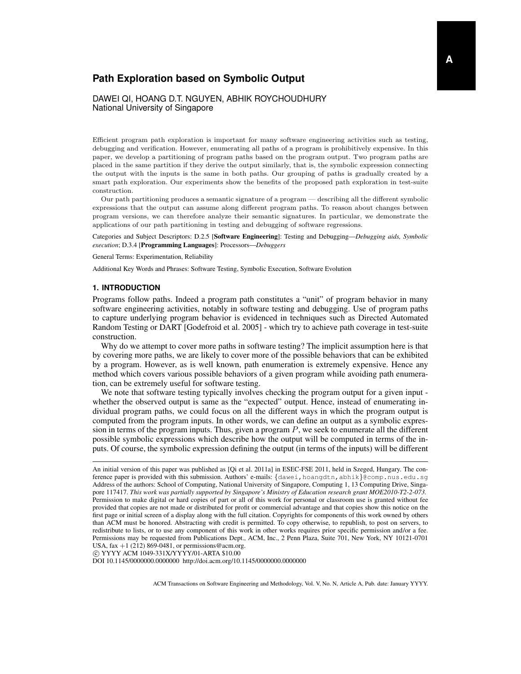# **Path Exploration based on Symbolic Output**

# DAWEI QI, HOANG D.T. NGUYEN, ABHIK ROYCHOUDHURY National University of Singapore

Efficient program path exploration is important for many software engineering activities such as testing, debugging and verification. However, enumerating all paths of a program is prohibitively expensive. In this paper, we develop a partitioning of program paths based on the program output. Two program paths are placed in the same partition if they derive the output similarly, that is, the symbolic expression connecting the output with the inputs is the same in both paths. Our grouping of paths is gradually created by a smart path exploration. Our experiments show the benefits of the proposed path exploration in test-suite construction.

Our path partitioning produces a semantic signature of a program — describing all the different symbolic expressions that the output can assume along different program paths. To reason about changes between program versions, we can therefore analyze their semantic signatures. In particular, we demonstrate the applications of our path partitioning in testing and debugging of software regressions.

Categories and Subject Descriptors: D.2.5 [Software Engineering]: Testing and Debugging—*Debugging aids, Symbolic execution*; D.3.4 [Programming Languages]: Processors—*Debuggers*

General Terms: Experimentation, Reliability

Additional Key Words and Phrases: Software Testing, Symbolic Execution, Software Evolution

# **1. INTRODUCTION**

Programs follow paths. Indeed a program path constitutes a "unit" of program behavior in many software engineering activities, notably in software testing and debugging. Use of program paths to capture underlying program behavior is evidenced in techniques such as Directed Automated Random Testing or DART [Godefroid et al. 2005] - which try to achieve path coverage in test-suite construction.

Why do we attempt to cover more paths in software testing? The implicit assumption here is that by covering more paths, we are likely to cover more of the possible behaviors that can be exhibited by a program. However, as is well known, path enumeration is extremely expensive. Hence any method which covers various possible behaviors of a given program while avoiding path enumeration, can be extremely useful for software testing.

We note that software testing typically involves checking the program output for a given input whether the observed output is same as the "expected" output. Hence, instead of enumerating individual program paths, we could focus on all the different ways in which the program output is computed from the program inputs. In other words, we can define an output as a symbolic expression in terms of the program inputs. Thus, given a program  $P$ , we seek to enumerate all the different possible symbolic expressions which describe how the output will be computed in terms of the inputs. Of course, the symbolic expression defining the output (in terms of the inputs) will be different

c YYYY ACM 1049-331X/YYYY/01-ARTA \$10.00

DOI 10.1145/0000000.0000000 http://doi.acm.org/10.1145/0000000.0000000

An initial version of this paper was published as [Qi et al. 2011a] in ESEC-FSE 2011, held in Szeged, Hungary. The conference paper is provided with this submission. Authors' e-mails: {dawei,hoangdtn,abhik}@comp.nus.edu.sg Address of the authors: School of Computing, National University of Singapore, Computing 1, 13 Computing Drive, Singapore 117417. *This work was partially supported by Singapore's Ministry of Education research grant MOE2010-T2-2-073.* Permission to make digital or hard copies of part or all of this work for personal or classroom use is granted without fee provided that copies are not made or distributed for profit or commercial advantage and that copies show this notice on the first page or initial screen of a display along with the full citation. Copyrights for components of this work owned by others than ACM must be honored. Abstracting with credit is permitted. To copy otherwise, to republish, to post on servers, to redistribute to lists, or to use any component of this work in other works requires prior specific permission and/or a fee. Permissions may be requested from Publications Dept., ACM, Inc., 2 Penn Plaza, Suite 701, New York, NY 10121-0701 USA, fax  $+1$  (212) 869-0481, or permissions@acm.org.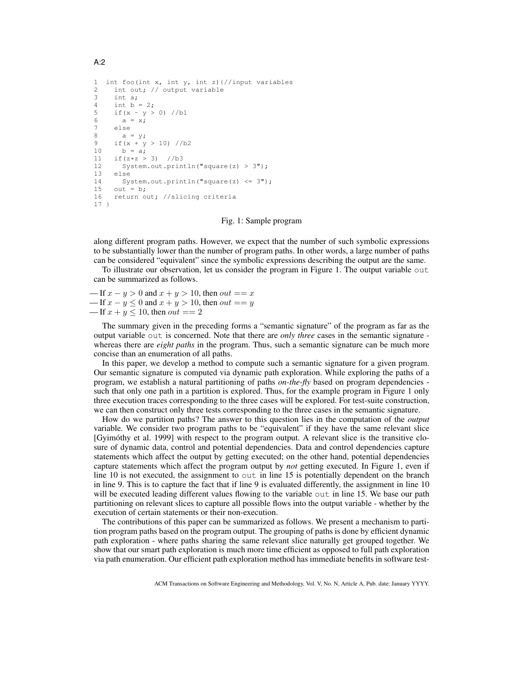```
1 int foo(int x, int y, int z){//input variables
2 int out; // output variable
3 int a;
4 int b = 2;5 if (x - y > 0) //b1
6 a = x;7 else
8 a = y;9 if(x + y > 10) //b2
10 b = a;11 if(z*z > 3) //b3<br>12 System.out.print
12 System.out.println("square(z) > 3");<br>13 else
    2214 System.out.println("square(z) <= 3");
15 \text{out} = \text{b}:
16 return out; //slicing criteria
17 }
```
# Fig. 1: Sample program

along different program paths. However, we expect that the number of such symbolic expressions to be substantially lower than the number of program paths. In other words, a large number of paths can be considered "equivalent" since the symbolic expressions describing the output are the same.

To illustrate our observation, let us consider the program in Figure 1. The output variable out can be summarized as follows.

— If  $x - y > 0$  and  $x + y > 10$ , then  $out == x$ — If  $x - y \leq 0$  and  $x + y > 10$ , then  $out == y$ — If  $x + y \le 10$ , then  $out == 2$ 

The summary given in the preceding forms a "semantic signature" of the program as far as the output variable out is concerned. Note that there are *only three* cases in the semantic signature whereas there are *eight paths* in the program. Thus, such a semantic signature can be much more concise than an enumeration of all paths.

In this paper, we develop a method to compute such a semantic signature for a given program. Our semantic signature is computed via dynamic path exploration. While exploring the paths of a program, we establish a natural partitioning of paths *on-the-fly* based on program dependencies such that only one path in a partition is explored. Thus, for the example program in Figure 1 only three execution traces corresponding to the three cases will be explored. For test-suite construction, we can then construct only three tests corresponding to the three cases in the semantic signature.

How do we partition paths? The answer to this question lies in the computation of the *output* variable. We consider two program paths to be "equivalent" if they have the same relevant slice [Gyimothy et al. 1999] with respect to the program output. A relevant slice is the transitive clo- ´ sure of dynamic data, control and potential dependencies. Data and control dependencies capture statements which affect the output by getting executed; on the other hand, potential dependencies capture statements which affect the program output by *not* getting executed. In Figure 1, even if line 10 is not executed, the assignment to out in line 15 is potentially dependent on the branch in line 9. This is to capture the fact that if line 9 is evaluated differently, the assignment in line 10 will be executed leading different values flowing to the variable out in line 15. We base our path partitioning on relevant slices to capture all possible flows into the output variable - whether by the execution of certain statements or their non-execution.

The contributions of this paper can be summarized as follows. We present a mechanism to partition program paths based on the program output. The grouping of paths is done by efficient dynamic path exploration - where paths sharing the same relevant slice naturally get grouped together. We show that our smart path exploration is much more time efficient as opposed to full path exploration via path enumeration. Our efficient path exploration method has immediate benefits in software test-

A:2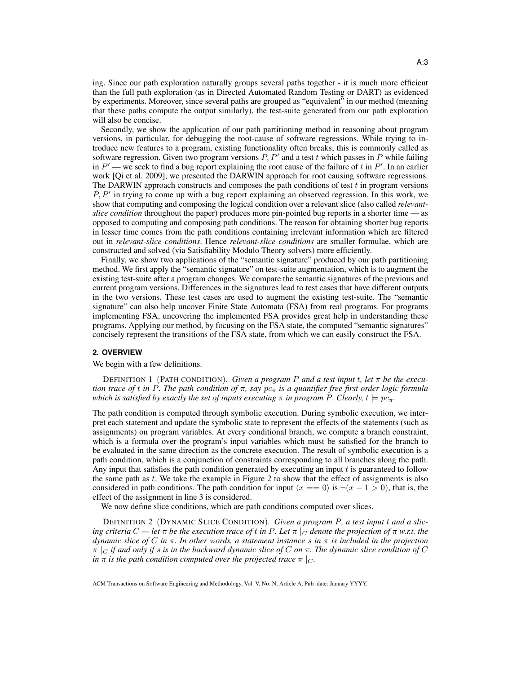ing. Since our path exploration naturally groups several paths together - it is much more efficient than the full path exploration (as in Directed Automated Random Testing or DART) as evidenced by experiments. Moreover, since several paths are grouped as "equivalent" in our method (meaning that these paths compute the output similarly), the test-suite generated from our path exploration will also be concise.

Secondly, we show the application of our path partitioning method in reasoning about program versions, in particular, for debugging the root-cause of software regressions. While trying to introduce new features to a program, existing functionality often breaks; this is commonly called as software regression. Given two program versions  $P, P'$  and a test t which passes in P while failing in  $P'$  — we seek to find a bug report explaining the root cause of the failure of t in  $P'$ . In an earlier work [Qi et al. 2009], we presented the DARWIN approach for root causing software regressions. The DARWIN approach constructs and composes the path conditions of test  $t$  in program versions  $P, P'$  in trying to come up with a bug report explaining an observed regression. In this work, we show that computing and composing the logical condition over a relevant slice (also called *relevantslice condition* throughout the paper) produces more pin-pointed bug reports in a shorter time — as opposed to computing and composing path conditions. The reason for obtaining shorter bug reports in lesser time comes from the path conditions containing irrelevant information which are filtered out in *relevant-slice conditions*. Hence *relevant-slice conditions* are smaller formulae, which are constructed and solved (via Satisfiability Modulo Theory solvers) more efficiently.

Finally, we show two applications of the "semantic signature" produced by our path partitioning method. We first apply the "semantic signature" on test-suite augmentation, which is to augment the existing test-suite after a program changes. We compare the semantic signatures of the previous and current program versions. Differences in the signatures lead to test cases that have different outputs in the two versions. These test cases are used to augment the existing test-suite. The "semantic signature" can also help uncover Finite State Automata (FSA) from real programs. For programs implementing FSA, uncovering the implemented FSA provides great help in understanding these programs. Applying our method, by focusing on the FSA state, the computed "semantic signatures" concisely represent the transitions of the FSA state, from which we can easily construct the FSA.

## **2. OVERVIEW**

We begin with a few definitions.

DEFINITION 1 (PATH CONDITION). *Given a program* P *and a test input* t*, let* π *be the execution trace of t in* P. The path condition of  $\pi$ , say  $pc_{\pi}$  is a quantifier free first order logic formula *which is satisfied by exactly the set of inputs executing*  $\pi$  *in program P. Clearly,*  $t \models pc_{\pi}$ *.* 

The path condition is computed through symbolic execution. During symbolic execution, we interpret each statement and update the symbolic state to represent the effects of the statements (such as assignments) on program variables. At every conditional branch, we compute a branch constraint, which is a formula over the program's input variables which must be satisfied for the branch to be evaluated in the same direction as the concrete execution. The result of symbolic execution is a path condition, which is a conjunction of constraints corresponding to all branches along the path. Any input that satisfies the path condition generated by executing an input  $t$  is guaranteed to follow the same path as  $t$ . We take the example in Figure 2 to show that the effect of assignments is also considered in path conditions. The path condition for input  $\langle x == 0 \rangle$  is  $\neg(x - 1 > 0)$ , that is, the effect of the assignment in line 3 is considered.

We now define slice conditions, which are path conditions computed over slices.

DEFINITION 2 (DYNAMIC SLICE CONDITION). *Given a program* P*, a test input* t *and a slicing criteria*  $C$  — let  $\pi$  be the execution trace of t in P. Let  $\pi|_C$  denote the projection of  $\pi$  w.r.t. the *dynamic slice of* C *in* π*. In other words, a statement instance* s *in* π *is included in the projection* π |<sup>C</sup> *if and only if* s *is in the backward dynamic slice of* C *on* π*. The dynamic slice condition of* C *in*  $\pi$  *is the path condition computed over the projected trace*  $\pi|_{C}$ *.*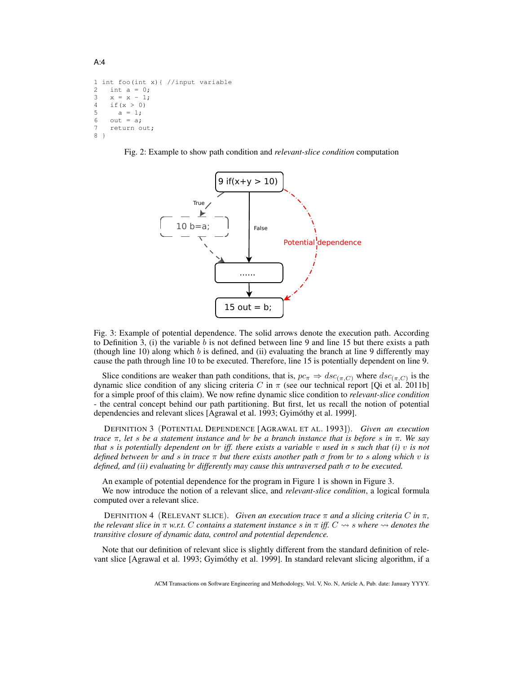```
1 int foo(int x){ //input variable
2 int a = 0;3 x = x - 1;4 if(x > 0)
5 a = 1;6 out = a;
7 return out;
8 }
```
Fig. 2: Example to show path condition and *relevant-slice condition* computation



Fig. 3: Example of potential dependence. The solid arrows denote the execution path. According to Definition 3, (i) the variable b is not defined between line 9 and line 15 but there exists a path (though line 10) along which  $b$  is defined, and (ii) evaluating the branch at line 9 differently may cause the path through line 10 to be executed. Therefore, line 15 is potentially dependent on line 9.

Slice conditions are weaker than path conditions, that is,  $pc_{\pi} \Rightarrow desc_{(\pi,C)}$  where  $asc_{(\pi,C)}$  is the dynamic slice condition of any slicing criteria C in  $\pi$  (see our technical report [Qi et al. 2011b] for a simple proof of this claim). We now refine dynamic slice condition to *relevant-slice condition* - the central concept behind our path partitioning. But first, let us recall the notion of potential dependencies and relevant slices [Agrawal et al. 1993; Gyimóthy et al. 1999].

DEFINITION 3 (POTENTIAL DEPENDENCE [AGRAWAL ET AL. 1993]). *Given an execution trace* π*, let* s *be a statement instance and* br *be a branch instance that is before* s *in* π*. We say that* s *is potentially dependent on* br *iff. there exists a variable* v *used in* s *such that (i)* v *is not defined between* br *and* s *in trace* π *but there exists another path* σ *from* br *to* s *along which* v *is defined, and (ii) evaluating* br *differently may cause this untraversed path* σ *to be executed.*

An example of potential dependence for the program in Figure 1 is shown in Figure 3.

We now introduce the notion of a relevant slice, and *relevant-slice condition*, a logical formula computed over a relevant slice.

**DEFINITION 4** (RELEVANT SLICE). *Given an execution trace*  $\pi$  *and a slicing criteria* C *in*  $\pi$ *, the relevant slice in*  $\pi$  *w.r.t.* C *contains a statement instance s in*  $\pi$  *iff.*  $C \rightsquigarrow s$  *where*  $\rightsquigarrow$  *denotes the transitive closure of dynamic data, control and potential dependence.*

Note that our definition of relevant slice is slightly different from the standard definition of relevant slice [Agrawal et al. 1993; Gyimothy et al. 1999]. In standard relevant slicing algorithm, if a ´

ACM Transactions on Software Engineering and Methodology, Vol. V, No. N, Article A, Pub. date: January YYYY.

A:4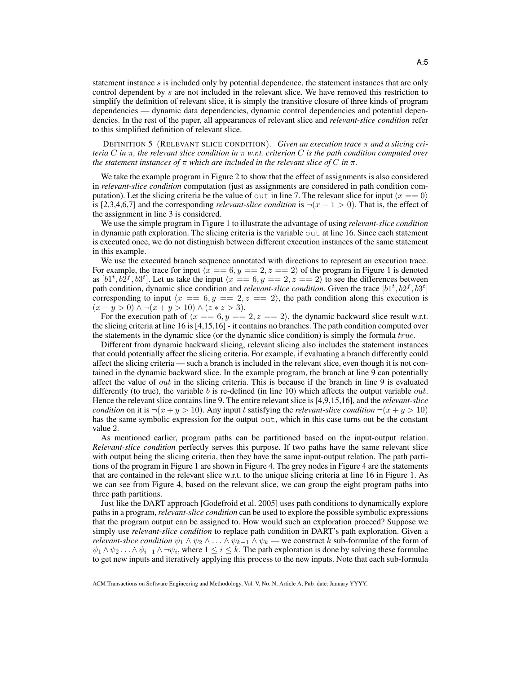statement instance s is included only by potential dependence, the statement instances that are only control dependent by s are not included in the relevant slice. We have removed this restriction to simplify the definition of relevant slice, it is simply the transitive closure of three kinds of program dependencies — dynamic data dependencies, dynamic control dependencies and potential dependencies. In the rest of the paper, all appearances of relevant slice and *relevant-slice condition* refer to this simplified definition of relevant slice.

DEFINITION 5 (RELEVANT SLICE CONDITION). *Given an execution trace*  $\pi$  *and a slicing criteria* C *in* π*, the relevant slice condition in* π *w.r.t. criterion* C *is the path condition computed over the statement instances of*  $\pi$  *which are included in the relevant slice of* C *in*  $\pi$ *.* 

We take the example program in Figure 2 to show that the effect of assignments is also considered in *relevant-slice condition* computation (just as assignments are considered in path condition computation). Let the slicing criteria be the value of out in line 7. The relevant slice for input  $\langle x == 0 \rangle$ is [2,3,4,6,7] and the corresponding *relevant-slice condition* is  $\neg(x - 1 > 0)$ . That is, the effect of the assignment in line 3 is considered.

We use the simple program in Figure 1 to illustrate the advantage of using *relevant-slice condition* in dynamic path exploration. The slicing criteria is the variable out at line 16. Since each statement is executed once, we do not distinguish between different execution instances of the same statement in this example.

We use the executed branch sequence annotated with directions to represent an execution trace. For example, the trace for input  $\langle x = 6, y = 2, z = 2 \rangle$  of the program in Figure 1 is denoted as  $[b1^t, b2^f, b3^t]$ . Let us take the input  $\langle x == 6, y == 2, z == 2 \rangle$  to see the differences between path condition, dynamic slice condition and *relevant-slice condition*. Given the trace  $[b1^t, b2^f, b3^t]$ corresponding to input  $\langle x \rangle = 6, y \rangle = 2, z \rangle = 2$ , the path condition along this execution is  $(x - y > 0) \wedge \neg(x + y > 10) \wedge (z * z > 3).$ 

For the execution path of  $\langle x = 6, y = 2, z = 2 \rangle$ , the dynamic backward slice result w.r.t. the slicing criteria at line 16 is [4,15,16] - it contains no branches. The path condition computed over the statements in the dynamic slice (or the dynamic slice condition) is simply the formula true.

Different from dynamic backward slicing, relevant slicing also includes the statement instances that could potentially affect the slicing criteria. For example, if evaluating a branch differently could affect the slicing criteria — such a branch is included in the relevant slice, even though it is not contained in the dynamic backward slice. In the example program, the branch at line 9 can potentially affect the value of out in the slicing criteria. This is because if the branch in line 9 is evaluated differently (to true), the variable  $b$  is re-defined (in line 10) which affects the output variable *out*. Hence the relevant slice contains line 9. The entire relevant slice is [4,9,15,16], and the *relevant-slice condition* on it is  $\neg(x + y > 10)$ . Any input t satisfying the *relevant-slice condition*  $\neg(x + y > 10)$ has the same symbolic expression for the output out, which in this case turns out be the constant value 2.

As mentioned earlier, program paths can be partitioned based on the input-output relation. *Relevant-slice condition* perfectly serves this purpose. If two paths have the same relevant slice with output being the slicing criteria, then they have the same input-output relation. The path partitions of the program in Figure 1 are shown in Figure 4. The grey nodes in Figure 4 are the statements that are contained in the relevant slice w.r.t. to the unique slicing criteria at line 16 in Figure 1. As we can see from Figure 4, based on the relevant slice, we can group the eight program paths into three path partitions.

Just like the DART approach [Godefroid et al. 2005] uses path conditions to dynamically explore paths in a program,*relevant-slice condition* can be used to explore the possible symbolic expressions that the program output can be assigned to. How would such an exploration proceed? Suppose we simply use *relevant-slice condition* to replace path condition in DART's path exploration. Given a *relevant-slice condition*  $\psi_1 \wedge \psi_2 \wedge \ldots \wedge \psi_{k-1} \wedge \psi_k$  — we construct k sub-formulae of the form of  $\psi_1 \wedge \psi_2 \ldots \wedge \psi_{i-1} \wedge \neg \psi_i$ , where  $1 \leq i \leq k$ . The path exploration is done by solving these formulae to get new inputs and iteratively applying this process to the new inputs. Note that each sub-formula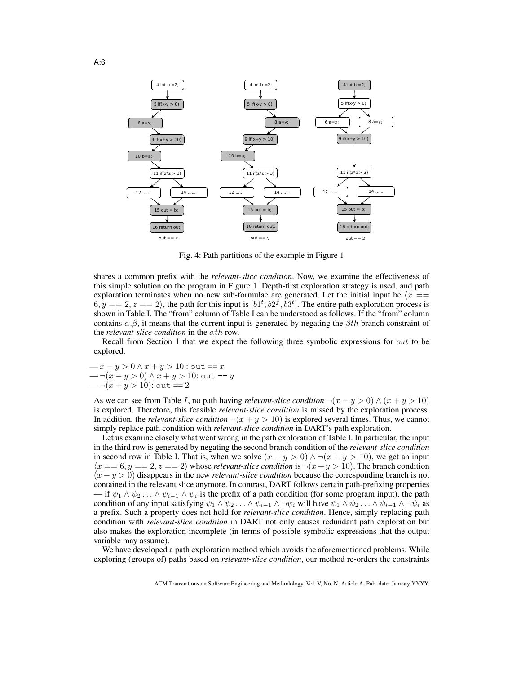

Fig. 4: Path partitions of the example in Figure 1

shares a common prefix with the *relevant-slice condition*. Now, we examine the effectiveness of this simple solution on the program in Figure 1. Depth-first exploration strategy is used, and path exploration terminates when no new sub-formulae are generated. Let the initial input be  $\langle x ==$  $6, y == 2, z == 2$ , the path for this input is  $[b1<sup>t</sup>, b2<sup>f</sup>, b3<sup>t</sup>]$ . The entire path exploration process is shown in Table I. The "from" column of Table I can be understood as follows. If the "from" column contains  $\alpha$ .β, it means that the current input is generated by negating the  $\beta$ th branch constraint of the *relevant-slice condition* in the αth row.

Recall from Section 1 that we expect the following three symbolic expressions for *out* to be explored.

$$
-x - y > 0 \land x + y > 10 : \text{out} == x
$$
  

$$
-x - (x - y > 0) \land x + y > 10 : \text{out} == y
$$
  

$$
-x - (x + y > 10) : \text{out} == 2
$$

As we can see from Table I, no path having *relevant-slice condition*  $\neg(x - y > 0) \wedge (x + y > 10)$ is explored. Therefore, this feasible *relevant-slice condition* is missed by the exploration process. In addition, the *relevant-slice condition*  $\neg(x + y > 10)$  is explored several times. Thus, we cannot simply replace path condition with *relevant-slice condition* in DART's path exploration.

Let us examine closely what went wrong in the path exploration of Table I. In particular, the input in the third row is generated by negating the second branch condition of the *relevant-slice condition* in second row in Table I. That is, when we solve  $(x - y > 0) \wedge \neg(x + y > 10)$ , we get an input  $\langle x == 6, y == 2, z == 2 \rangle$  whose *relevant-slice condition* is  $\neg(x + y > 10)$ . The branch condition  $(x - y > 0)$  disappears in the new *relevant-slice condition* because the corresponding branch is not contained in the relevant slice anymore. In contrast, DART follows certain path-prefixing properties — if  $\psi_1 \wedge \psi_2 \ldots \wedge \psi_{i-1} \wedge \psi_i$  is the prefix of a path condition (for some program input), the path condition of any input satisfying  $\psi_1 \wedge \psi_2 \ldots \wedge \psi_{i-1} \wedge \neg \psi_i$  will have  $\psi_1 \wedge \psi_2 \ldots \wedge \psi_{i-1} \wedge \neg \psi_i$  as a prefix. Such a property does not hold for *relevant-slice condition*. Hence, simply replacing path condition with *relevant-slice condition* in DART not only causes redundant path exploration but also makes the exploration incomplete (in terms of possible symbolic expressions that the output variable may assume).

We have developed a path exploration method which avoids the aforementioned problems. While exploring (groups of) paths based on *relevant-slice condition*, our method re-orders the constraints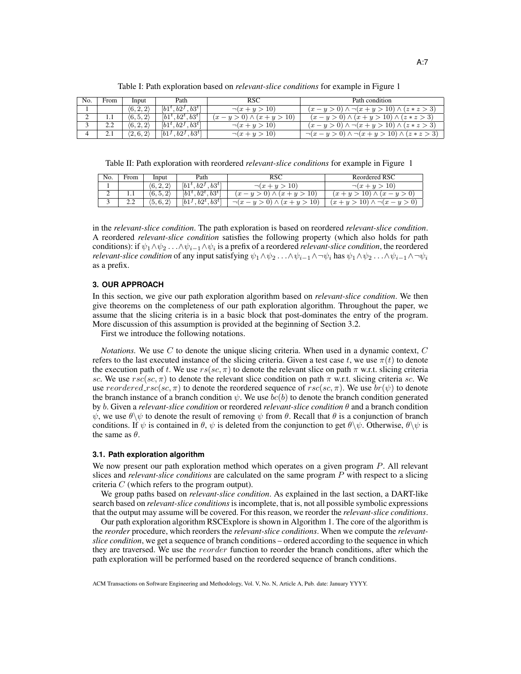| No. | From | Input                   | Path                                  | <b>RSC</b>                       | Path condition                                                        |
|-----|------|-------------------------|---------------------------------------|----------------------------------|-----------------------------------------------------------------------|
|     |      | (6, 2, 2)               | $ b3^t $<br>$(b1^t, b2^t)$            | $\neg(x+y>10)$                   | $\neg(x+y>10) \wedge (z*z>3)$<br>$(x-y)$                              |
| ∸   | 1.1  | $\langle 6,5,2 \rangle$ | $[b1^t, b2^t, b3^t]$                  | $\wedge (x + y > 10)$<br>$(x-y)$ | $\land (x + y > 10) \land (z * z > 3)$<br>$(x - y > 0)$               |
|     | 2.2  | (6, 2, 2)               | $bb3^t$<br>$[b1^t, b2^f]$             | $\neg(x+y>10)$                   | $\neg (x+y>10) \wedge (z*z>3)$<br>$(x - y > 0)$                       |
|     | 2.1  | (2, 6, 2)               | .b3 <sup>t</sup><br>$b2^f$<br>$[b1^f$ | $\neg(x+y>10)$                   | $10) \wedge (z * z > 3)$<br>$\neg(x-y>0)$<br>$\hat{y} \neg (x+y > 1.$ |

Table I: Path exploration based on *relevant-slice conditions* for example in Figure 1

Table II: Path exploration with reordered *relevant-slice conditions* for example in Figure 1

| No. | From          | Input                     | Path                                         | roc                                        | Reordered RSC                                |  |  |
|-----|---------------|---------------------------|----------------------------------------------|--------------------------------------------|----------------------------------------------|--|--|
|     |               | $\langle 6, 2, 2 \rangle$ | $, b3^{t}$<br>$b2^J$<br>$ b1^t $             | $10^{\circ}$<br>$\neg(x+y)$                | 10)<br>y ><br>$\neg(x + u)$                  |  |  |
| ∸   | 1.1           | (6, 5, 2)                 | , b3 <sup>t</sup><br>$b2^t$<br>$ b1^{\tau} $ | 10 <sup>1</sup><br>$x -$<br>$\sim$<br>$+u$ | (x <sup>2</sup> )<br>(x <sup>2</sup> )<br>U. |  |  |
|     | $\sim$<br>ے ۔ | $\langle 5,6,2\rangle$    | $. b3^{t1}$<br>$b2^t$<br>$(b1^f)$            | 10)<br>$x +$<br>$\neg(x)$<br>U).           | $10) \wedge$<br>$x +$<br>$\neg(x)$<br>∵∪ ⊢   |  |  |

in the *relevant-slice condition*. The path exploration is based on reordered *relevant-slice condition*. A reordered *relevant-slice condition* satisfies the following property (which also holds for path conditions): if  $\psi_1\wedge\psi_2\ldots\wedge\psi_{i-1}\wedge\psi_i$  is a prefix of a reordered *relevant-slice condition*, the reordered *relevant-slice condition* of any input satisfying  $\psi_1 \wedge \psi_2 \dots \wedge \psi_{i-1} \wedge \neg \psi_i$  has  $\psi_1 \wedge \psi_2 \dots \wedge \psi_{i-1} \wedge \neg \psi_i$ as a prefix.

## **3. OUR APPROACH**

In this section, we give our path exploration algorithm based on *relevant-slice condition*. We then give theorems on the completeness of our path exploration algorithm. Throughout the paper, we assume that the slicing criteria is in a basic block that post-dominates the entry of the program. More discussion of this assumption is provided at the beginning of Section 3.2.

First we introduce the following notations.

*Notations.* We use  $C$  to denote the unique slicing criteria. When used in a dynamic context,  $C$ refers to the last executed instance of the slicing criteria. Given a test case t, we use  $\pi(t)$  to denote the execution path of t. We use  $rs(sc, \pi)$  to denote the relevant slice on path  $\pi$  w.r.t. slicing criteria sc. We use  $rsc(sc, \pi)$  to denote the relevant slice condition on path  $\pi$  w.r.t. slicing criteria sc. We use reordered rsc(sc,  $\pi$ ) to denote the reordered sequence of  $rsc(sc, \pi)$ . We use  $br(\psi)$  to denote the branch instance of a branch condition  $\psi$ . We use  $bc(b)$  to denote the branch condition generated by b. Given a *relevant-slice condition* or reordered *relevant-slice condition* θ and a branch condition  $\psi$ , we use  $\theta \setminus \psi$  to denote the result of removing  $\psi$  from  $\theta$ . Recall that  $\theta$  is a conjunction of branch conditions. If  $\psi$  is contained in  $\theta$ ,  $\psi$  is deleted from the conjunction to get  $\theta \setminus \psi$ . Otherwise,  $\theta \setminus \psi$  is the same as  $\theta$ .

## **3.1. Path exploration algorithm**

We now present our path exploration method which operates on a given program P. All relevant slices and *relevant-slice conditions* are calculated on the same program P with respect to a slicing criteria C (which refers to the program output).

We group paths based on *relevant-slice condition*. As explained in the last section, a DART-like search based on *relevant-slice conditions* is incomplete, that is, not all possible symbolic expressions that the output may assume will be covered. For this reason, we reorder the *relevant-slice conditions*.

Our path exploration algorithm RSCExplore is shown in Algorithm 1. The core of the algorithm is the *reorder* procedure, which reorders the *relevant-slice conditions*. When we compute the *relevantslice condition*, we get a sequence of branch conditions – ordered according to the sequence in which they are traversed. We use the *reorder* function to reorder the branch conditions, after which the path exploration will be performed based on the reordered sequence of branch conditions.

ACM Transactions on Software Engineering and Methodology, Vol. V, No. N, Article A, Pub. date: January YYYY.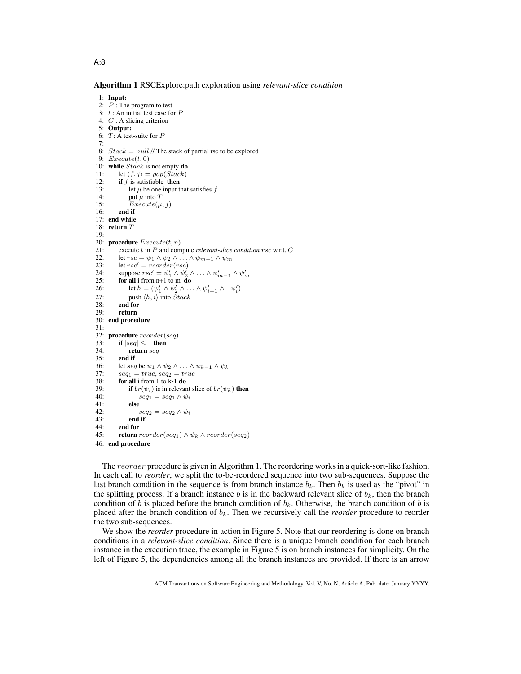A:8

Algorithm 1 RSCExplore:path exploration using *relevant-slice condition*

1: Input: 2:  $P$  : The program to test 3:  $t$  : An initial test case for  $P$ 4: C : A slicing criterion 5: Output: 6:  $T: \overline{A}$  test-suite for  $P$ 7: 8:  $Stack = null$  // The stack of partial rsc to be explored 9:  $Execute(t, 0)$ 10: while  $Stack$  is not empty do 11: let  $\langle f, j \rangle = pop(Stack)$ 12: if  $f$  is satisfiable then 13: let  $\mu$  be one input that satisfies  $f$ 14: put  $\mu$  into  $T$ <br>15:  $Execute(\mu,$  $Execute(\mu, j)$  $16:$  end if 17: end while 18: return  $T$ 19: 20: procedure  $Execute(t, n)$ 21: execute t in *P* and compute *relevant-slice condition rsc* w.r.t. *C*<br>22: let  $rsc = \psi_1 \wedge \psi_2 \wedge \ldots \wedge \psi_{m-1} \wedge \psi_m$ 22: let  $rsc = \psi_1 \wedge \psi_2 \wedge \ldots \wedge \psi_{m-1} \wedge \psi_m$ <br>23: let  $rsc' = reorder(rsc)$ 23: let  $rsc' = reorder(rsc)$ <br>24: suppose  $rsc' = \psi'_i \wedge \psi'_i$ 24: suppose  $rsc' = \psi'_1 \wedge \psi'_2 \wedge \ldots \wedge \psi'_{m-1} \wedge \psi'_m$ 25: **for all** i from n+1 to m **do**<br>26: **let**  $h = (v_1^1 \wedge v_2^1 \wedge ...$ 26: let  $h = (\psi'_1 \wedge \psi'_2 \wedge \ldots \wedge \psi'_{i-1} \wedge \neg \psi'_i)$ 27: push  $\langle h, i \rangle$  into  $Stack$ 28: end for<br>  $29$ : return return 30: end procedure 31: 32: procedure reorder(seq) 33: **if**  $|seq| \le 1$  then<br>34: **return** seq return seq 35: end if 36: let seq be  $\psi_1 \wedge \psi_2 \wedge \ldots \wedge \psi_{k-1} \wedge \psi_k$ <br>37: seq = true, seq = true  $\mathit{seq}_1 = \mathit{true}, \mathit{seq}_2 = \mathit{true}$ 38: **for all** i from 1 to k-1 **do**<br>39: **if**  $br(\psi_i)$  is in relevant 39: **if**  $br(\psi_i)$  is in relevant slice of  $br(\psi_k)$  **then** 40:  $seq_1 = seq_1 \wedge \psi_i$ 40:  $seq_1 = seq_1 \wedge \psi_i$ <br>41: **else** else 42:  $seq_2 = seq_2 \wedge \psi_i$ <br>43: **end if** 43: end if<br>44: end for 44: end for<br>45: return return  $reorder(seq_1) \wedge \psi_k \wedge reorder(seq_2)$ 46: end procedure

The reorder procedure is given in Algorithm 1. The reordering works in a quick-sort-like fashion. In each call to *reorder*, we split the to-be-reordered sequence into two sub-sequences. Suppose the last branch condition in the sequence is from branch instance  $b_k$ . Then  $b_k$  is used as the "pivot" in the splitting process. If a branch instance b is in the backward relevant slice of  $b_k$ , then the branch condition of b is placed before the branch condition of  $b_k$ . Otherwise, the branch condition of b is placed after the branch condition of  $b_k$ . Then we recursively call the *reorder* procedure to reorder the two sub-sequences.

We show the *reorder* procedure in action in Figure 5. Note that our reordering is done on branch conditions in a *relevant-slice condition*. Since there is a unique branch condition for each branch instance in the execution trace, the example in Figure 5 is on branch instances for simplicity. On the left of Figure 5, the dependencies among all the branch instances are provided. If there is an arrow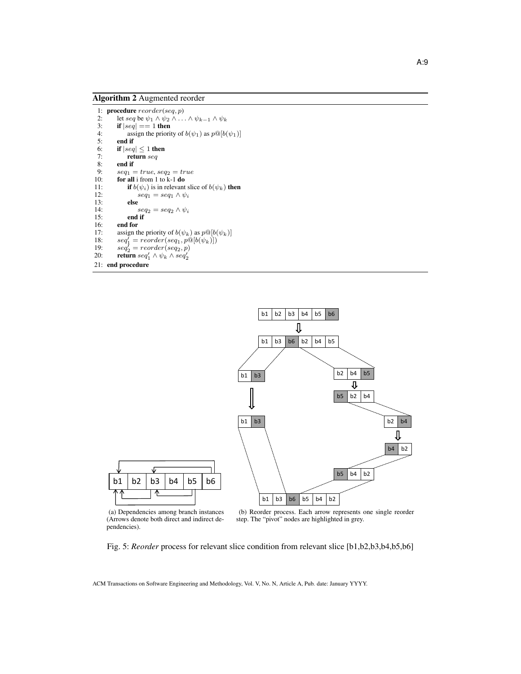Algorithm 2 Augmented reorder

```
1: procedure reorder(seq, p)
 2: let seq be \psi_1 \wedge \psi_2 \wedge \ldots \wedge \psi_{k-1} \wedge \psi_k<br>3: if |seq| == 1 then
 3: if |seq| == 1 then<br>4: assign the priorit
 4: assign the priority of b(\psi_1) as p@[b(\psi_1)]<br>5: end if
 5: end if<br>6: if |seqif |seq| \leq 1 then
 7: rreturn seq<br>8: r end if
 8: end if<br>9: \sec a_1 =9: seq_1 = true, seq_2 = true<br>10: for all i from 1 to k-1 do
10: for all i from 1 to k-1 do 11: if b(\psi_i) is in relevant
11: if b(\psi_i) is in relevant slice of b(\psi_k) then 12: \begin{cases} \nseq_1 = seq_1 \wedge \psi_i\n\end{cases}12: seq_1 = seq_1 \wedge \psi_i<br>13: else
13: else<br>14:
14: seq_2 = seq_2 \wedge \psi_i<br>15: end if
15: end if<br>16: end for
16: end for 17: assign the
17: assign the priority of b(\psi_k) as p@[b(\psi_k)]<br>18: seq'_1 = reorder(seq_1, p@[b(\psi_k)])18: seq_1^{\prime} = reorder(seq_1, p@[b(\psi_k)])19: seq_2^t = reorder(seq_2, p)20: return seq'_1 \wedge \psi_k \wedge seq'_221: end procedure
```


Fig. 5: *Reorder* process for relevant slice condition from relevant slice [b1,b2,b3,b4,b5,b6]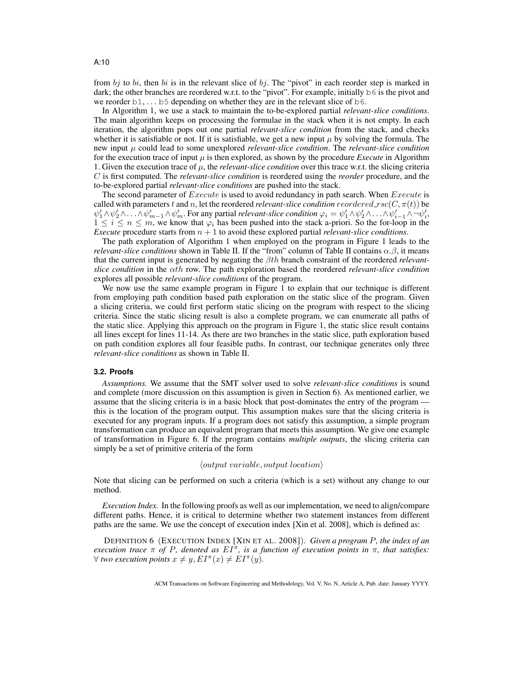from  $bj$  to bi, then bi is in the relevant slice of bj. The "pivot" in each reorder step is marked in dark; the other branches are reordered w.r.t. to the "pivot". For example, initially  $b6$  is the pivot and we reorder  $b1, \ldots b5$  depending on whether they are in the relevant slice of  $b6$ .

In Algorithm 1, we use a stack to maintain the to-be-explored partial *relevant-slice conditions*. The main algorithm keeps on processing the formulae in the stack when it is not empty. In each iteration, the algorithm pops out one partial *relevant-slice condition* from the stack, and checks whether it is satisfiable or not. If it is satisfiable, we get a new input  $\mu$  by solving the formula. The new input µ could lead to some unexplored *relevant-slice condition*. The *relevant-slice condition* for the execution trace of input  $\mu$  is then explored, as shown by the procedure *Execute* in Algorithm 1. Given the execution trace of  $\mu$ , the *relevant-slice condition* over this trace w.r.t. the slicing criteria C is first computed. The *relevant-slice condition* is reordered using the *reorder* procedure, and the to-be-explored partial *relevant-slice conditions* are pushed into the stack.

The second parameter of *Execute* is used to avoid redundancy in path search. When *Execute* is called with parameters t and n, let the reordered *relevant-slice condition* reordered\_ $rsc(C, \pi(t))$  be  $\psi_1' \wedge \psi_2' \wedge \ldots \wedge \psi_{m-1}' \wedge \psi_m'.$  For any partial *relevant-slice condition*  $\varphi_i = \psi_1' \wedge \psi_2' \wedge \ldots \wedge \psi_{i-1}' \wedge \neg \psi_i',$  $1 \leq i \leq n \leq m$ , we know that  $\varphi_i$  has been pushed into the stack a-priori. So the for-loop in the *Execute* procedure starts from n + 1 to avoid these explored partial *relevant-slice conditions*.

The path exploration of Algorithm 1 when employed on the program in Figure 1 leads to the *relevant-slice conditions* shown in Table II. If the "from" column of Table II contains  $\alpha.\beta$ , it means that the current input is generated by negating the βth branch constraint of the reordered *relevantslice condition* in the αth row. The path exploration based the reordered *relevant-slice condition* explores all possible *relevant-slice conditions* of the program.

We now use the same example program in Figure 1 to explain that our technique is different from employing path condition based path exploration on the static slice of the program. Given a slicing criteria, we could first perform static slicing on the program with respect to the slicing criteria. Since the static slicing result is also a complete program, we can enumerate all paths of the static slice. Applying this approach on the program in Figure 1, the static slice result contains all lines except for lines 11-14. As there are two branches in the static slice, path exploration based on path condition explores all four feasible paths. In contrast, our technique generates only three *relevant-slice conditions* as shown in Table II.

## **3.2. Proofs**

*Assumptions.* We assume that the SMT solver used to solve *relevant-slice conditions* is sound and complete (more discussion on this assumption is given in Section 6). As mentioned earlier, we assume that the slicing criteria is in a basic block that post-dominates the entry of the program this is the location of the program output. This assumption makes sure that the slicing criteria is executed for any program inputs. If a program does not satisfy this assumption, a simple program transformation can produce an equivalent program that meets this assumption. We give one example of transformation in Figure 6. If the program contains *multiple outputs*, the slicing criteria can simply be a set of primitive criteria of the form

$$
\langle output\ variable, output\ location\rangle
$$

Note that slicing can be performed on such a criteria (which is a set) without any change to our method.

*Execution Index.* In the following proofs as well as our implementation, we need to align/compare different paths. Hence, it is critical to determine whether two statement instances from different paths are the same. We use the concept of execution index [Xin et al. 2008], which is defined as:

DEFINITION 6 (EXECUTION INDEX [XIN ET AL. 2008]). *Given a program* P*, the index of an execution trace*  $\pi$  *of* P, denoted as  $EI^{\pi}$ , is a function of execution points in  $\pi$ , that satisfies:  $∀$  *two execution points*  $x ≠ y$ ,  $EI^{\pi}(x) ≠ EI^{\pi}(y)$ .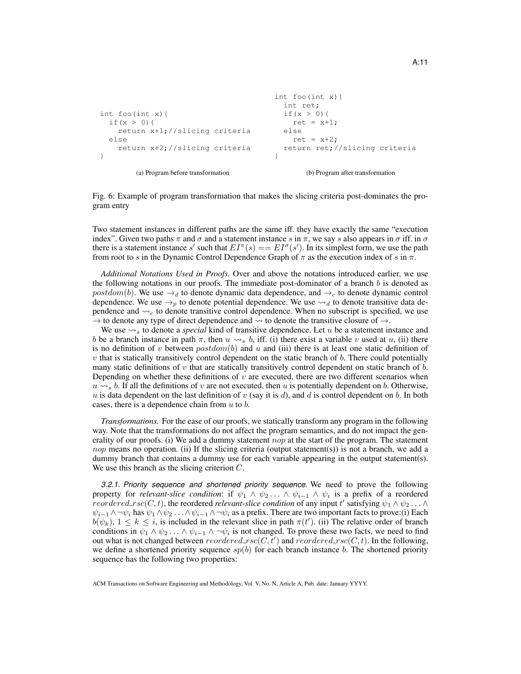```
int foo(int x){
  if (x > 0) {
    return x+1;//slicing criteria
  else
    return x+2;//slicing criteria
}
         (a) Program before transformation
                                            int foo(int x){
                                               int ret;
                                               if (x > 0) {
                                                 ret = x+1;else
                                                 ret = x+2;
                                              return ret;//slicing criteria
                                            }
                                                     (b) Program after transformation
```
Fig. 6: Example of program transformation that makes the slicing criteria post-dominates the program entry

Two statement instances in different paths are the same iff. they have exactly the same "execution index". Given two paths  $\pi$  and  $\sigma$  and a statement instance s in  $\pi$ , we say s also appears in  $\sigma$  iff. in  $\sigma$ there is a statement instance s' such that  $EI^{\pi}(s) = EI^{\sigma}(s')$ . In its simplest form, we use the path from root to s in the Dynamic Control Dependence Graph of  $\pi$  as the execution index of s in  $\pi$ .

*Additional Notations Used in Proofs.* Over and above the notations introduced earlier, we use the following notations in our proofs. The immediate post-dominator of a branch b is denoted as postdom(b). We use  $\rightarrow_d$  to denote dynamic data dependence, and  $\rightarrow_c$  to denote dynamic control dependence. We use  $\rightarrow_p$  to denote potential dependence. We use  $\rightarrow_d$  to denote transitive data dependence and  $\rightsquigarrow_c$  to denote transitive control dependence. When no subscript is specified, we use  $\rightarrow$  to denote any type of direct dependence and  $\rightsquigarrow$  to denote the transitive closure of  $\rightarrow$ .

We use  $\leadsto_s$  to denote a *special* kind of transitive dependence. Let u be a statement instance and b be a branch instance in path  $\pi$ , then  $u \rightsquigarrow_s b$ , iff. (i) there exist a variable v used at u, (ii) there is no definition of v between postdom(b) and u and (iii) there is at least one static definition of  $v$  that is statically transitively control dependent on the static branch of  $b$ . There could potentially many static definitions of  $v$  that are statically transitively control dependent on static branch of  $b$ . Depending on whether these definitions of  $v$  are executed, there are two different scenarios when  $u \rightsquigarrow_s b$ . If all the definitions of v are not executed, then u is potentially dependent on b. Otherwise, u is data dependent on the last definition of v (say it is d), and d is control dependent on b. In both cases, there is a dependence chain from  $u$  to  $b$ .

*Transformations.* For the ease of our proofs, we statically transform any program in the following way. Note that the transformations do not affect the program semantics, and do not impact the generality of our proofs. (i) We add a dummy statement nop at the start of the program. The statement nop means no operation. (ii) If the slicing criteria (output statement(s)) is not a branch, we add a dummy branch that contains a dummy use for each variable appearing in the output statement(s). We use this branch as the slicing criterion  $C$ .

*3.2.1. Priority sequence and shortened priority sequence.* We need to prove the following property for *relevant-slice condition*: if  $\psi_1 \wedge \psi_2 \ldots \wedge \psi_{i-1} \wedge \psi_i$  is a prefix of a reordered  $reordered\_rsc(C, t)$ , the reordered *relevant-slice condition* of any input t' satisfying  $\psi_1 \wedge \psi_2 \dots \wedge$  $\psi_{i-1} \wedge \neg \psi_i$  has  $\psi_1 \wedge \psi_2 \dots \wedge \psi_{i-1} \wedge \neg \psi_i$  as a prefix. There are two important facts to prove:(i) Each  $b(\psi_k)$ ,  $1 \leq k \leq i$ , is included in the relevant slice in path  $\pi(t')$ . (ii) The relative order of branch conditions in  $\psi_1 \wedge \psi_2 \ldots \wedge \psi_{i-1} \wedge \neg \psi_i$  is not changed. To prove these two facts, we need to find out what is not changed between  $reordered\_rsc(C, t')$  and  $reordered\_rsc(C, t)$ . In the following, we define a shortened priority sequence  $sp(b)$  for each branch instance b. The shortened priority sequence has the following two properties: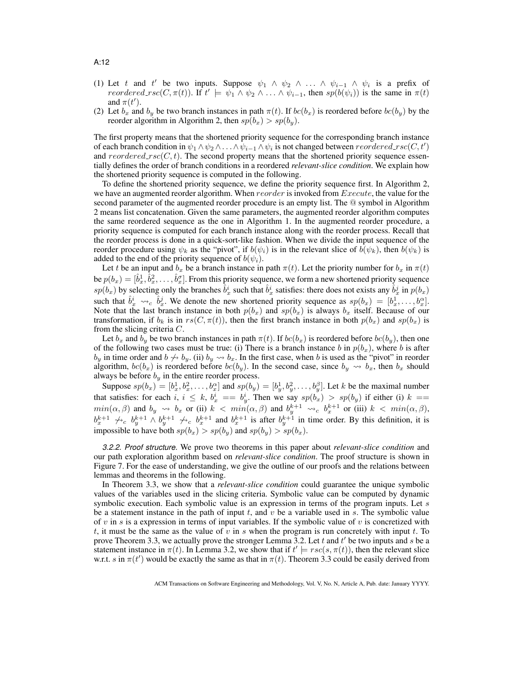- (1) Let t and t' be two inputs. Suppose  $\psi_1 \wedge \psi_2 \wedge ... \wedge \psi_{i-1} \wedge \psi_i$  is a prefix of reordered rsc(C,  $\pi(t)$ ). If  $t' \models \psi_1 \wedge \psi_2 \wedge \ldots \wedge \psi_{i-1}$ , then  $sp(b(\psi_i))$  is the same in  $\pi(t)$ and  $\pi(t')$ .
- (2) Let  $b_x$  and  $b_y$  be two branch instances in path  $\pi(t)$ . If  $bc(b_x)$  is reordered before  $bc(b_y)$  by the reorder algorithm in Algorithm 2, then  $sp(b_x) > sp(b_y)$ .

The first property means that the shortened priority sequence for the corresponding branch instance of each branch condition in  $\psi_1 \wedge \psi_2 \wedge \ldots \wedge \psi_{i-1} \wedge \psi_i$  is not changed between  $reordered\_rsc(C, t')$ and reordered  $rsc(C, t)$ . The second property means that the shortened priority sequence essentially defines the order of branch conditions in a reordered *relevant-slice condition*. We explain how the shortened priority sequence is computed in the following.

To define the shortened priority sequence, we define the priority sequence first. In Algorithm 2, we have an augmented reorder algorithm. When reorder is invoked from Execute, the value for the second parameter of the augmented reorder procedure is an empty list. The @ symbol in Algorithm 2 means list concatenation. Given the same parameters, the augmented reorder algorithm computes the same reordered sequence as the one in Algorithm 1. In the augmented reorder procedure, a priority sequence is computed for each branch instance along with the reorder process. Recall that the reorder process is done in a quick-sort-like fashion. When we divide the input sequence of the reorder procedure using  $\psi_k$  as the "pivot", if  $b(\psi_i)$  is in the relevant slice of  $b(\psi_k)$ , then  $b(\psi_k)$  is added to the end of the priority sequence of  $b(\psi_i)$ .

Let t be an input and  $b_x$  be a branch instance in path  $\pi(t)$ . Let the priority number for  $b_x$  in  $\pi(t)$ be  $p(b_x) = [\hat{b}_x^1, \hat{b}_x^2, \dots, \hat{b}_x^{\sigma}]$ . From this priority sequence, we form a new shortened priority sequence  $sp(b_x)$  by selecting only the branches  $\hat{b}_x^i$  such that  $\hat{b}_x^i$  satisfies: there does not exists any  $\hat{b}_x^j$  in  $p(b_x)$ such that  $\hat{b}_x^i \leadsto_c \hat{b}_x^j$ . We denote the new shortened priority sequence as  $sp(b_x) = [b_x^1, \ldots, b_x^{\alpha}]$ . Note that the last branch instance in both  $p(b_x)$  and  $sp(b_x)$  is always  $b_x$  itself. Because of our transformation, if  $b_k$  is in  $rs(C, \pi(t))$ , then the first branch instance in both  $p(b_x)$  and  $sp(b_x)$  is from the slicing criteria  $C$ .

Let  $b_x$  and  $b_y$  be two branch instances in path  $\pi(t)$ . If  $bc(b_x)$  is reordered before  $bc(b_y)$ , then one of the following two cases must be true: (i) There is a branch instance b in  $p(b_x)$ , where b is after  $b_y$  in time order and  $b \nleftrightarrow b_y$ . (ii)  $b_y \nleftrightarrow b_x$ . In the first case, when b is used as the "pivot" in reorder algorithm,  $bc(b_x)$  is reordered before  $bc(b_y)$ . In the second case, since  $b_y \leadsto b_x$ , then  $b_x$  should always be before  $b_y$  in the entire reorder process.

Suppose  $sp(b_x) = [b_x^1, b_x^2, \dots, b_x^{\alpha}]$  and  $sp(b_y) = [b_y^1, b_y^2, \dots, b_y^{\beta}]$ . Let k be the maximal number that satisfies: for each i,  $i \leq k$ ,  $b_x^i == b_y^i$ . Then we say  $sp(b_x) > sp(b_y)$  if either (i)  $k ==$  $min(\alpha, \beta)$  and  $b_y \leadsto b_x$  or (ii)  $k < min(\alpha, \beta)$  and  $b_y^{k+1} \leadsto_c b_x^{k+1}$  or (iii)  $k < min(\alpha, \beta)$ ,  $b_x^{k+1} \nleftrightarrow_c b_y^{k+1} \nleftrightarrow_b b_x^{k+1}$  and  $b_x^{k+1}$  is after  $b_y^{k+1}$  in time order. By this definition, it is impossible to have both  $sp(b_x) > sp(b_y)$  and  $sp(b_y) > sp(b_x)$ .

*3.2.2. Proof structure.* We prove two theorems in this paper about *relevant-slice condition* and our path exploration algorithm based on *relevant-slice condition*. The proof structure is shown in Figure 7. For the ease of understanding, we give the outline of our proofs and the relations between lemmas and theorems in the following.

In Theorem 3.3, we show that a *relevant-slice condition* could guarantee the unique symbolic values of the variables used in the slicing criteria. Symbolic value can be computed by dynamic symbolic execution. Each symbolic value is an expression in terms of the program inputs. Let  $s$ be a statement instance in the path of input t, and  $v$  be a variable used in  $s$ . The symbolic value of  $v$  in  $s$  is a expression in terms of input variables. If the symbolic value of  $v$  is concretized with t, it must be the same as the value of v in s when the program is run concretely with input t. To prove Theorem 3.3, we actually prove the stronger Lemma 3.2. Let t and t' be two inputs and s be a statement instance in  $\pi(t)$ . In Lemma 3.2, we show that if  $t' \models \text{rsc}(s, \pi(t))$ , then the relevant slice w.r.t. s in  $\pi(t')$  would be exactly the same as that in  $\pi(t)$ . Theorem 3.3 could be easily derived from

A:12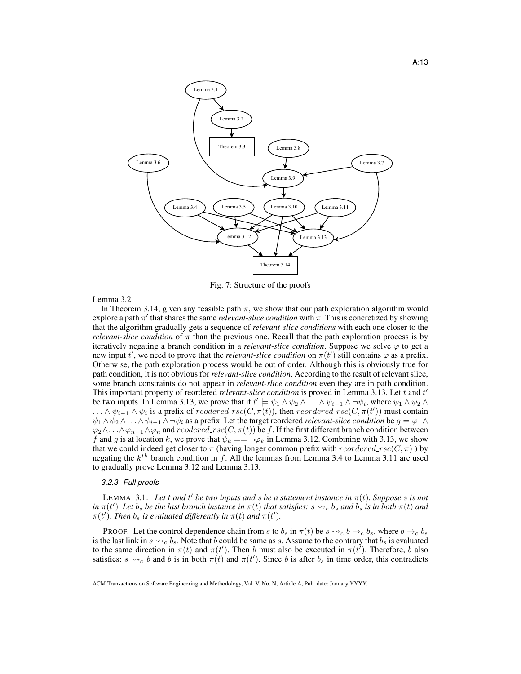

Fig. 7: Structure of the proofs

Lemma 3.2.

In Theorem 3.14, given any feasible path  $\pi$ , we show that our path exploration algorithm would explore a path  $\pi'$  that shares the same *relevant-slice condition* with  $\pi$ . This is concretized by showing that the algorithm gradually gets a sequence of *relevant-slice conditions* with each one closer to the *relevant-slice condition* of  $\pi$  than the previous one. Recall that the path exploration process is by iteratively negating a branch condition in a *relevant-slice condition*. Suppose we solve  $\varphi$  to get a new input t', we need to prove that the *relevant-slice condition* on  $\pi(t')$  still contains  $\varphi$  as a prefix. Otherwise, the path exploration process would be out of order. Although this is obviously true for path condition, it is not obvious for *relevant-slice condition*. According to the result of relevant slice, some branch constraints do not appear in *relevant-slice condition* even they are in path condition. This important property of reordered *relevant-slice condition* is proved in Lemma 3.13. Let t and t' be two inputs. In Lemma 3.13, we prove that if  $t' \models \psi_1 \land \psi_2 \land \ldots \land \psi_{i-1} \land \neg \psi_i$ , where  $\psi_1 \land \psi_2 \land \ldots \land \psi_i$  $\ldots \wedge \psi_{i-1} \wedge \psi_i$  is a prefix of  $reordered\_rsc(C, \pi(t))$ , then  $reordered\_rsc(C, \pi(t'))$  must contain  $\psi_1 \wedge \psi_2 \wedge \ldots \wedge \psi_{i-1} \wedge \neg \psi_i$  as a prefix. Let the target reordered *relevant-slice condition* be  $g = \varphi_1 \wedge \varphi_2$  $\varphi_2 \wedge \ldots \wedge \varphi_{n-1} \wedge \varphi_n$  and  $reodered\_rsc(C, \pi(t))$  be f. If the first different branch condition between f and g is at location k, we prove that  $\psi_k == \neg \varphi_k$  in Lemma 3.12. Combining with 3.13, we show that we could indeed get closer to  $\pi$  (having longer common prefix with reordered rsc(C,  $\pi$ )) by negating the  $k^{th}$  branch condition in f. All the lemmas from Lemma 3.4 to Lemma 3.11 are used to gradually prove Lemma 3.12 and Lemma 3.13.

# *3.2.3. Full proofs*

LEMMA 3.1. Let t and t' be two inputs and s be a statement instance in  $\pi(t)$ . Suppose s is not  $i$ *n*  $\pi(t')$ . Let  $b_s$  be the last branch instance in  $\pi(t)$  that satisfies:  $s \leadsto_c b_s$  and  $b_s$  is in both  $\pi(t)$  and  $\pi(t')$ . Then  $b_s$  is evaluated differently in  $\pi(t)$  and  $\pi(t')$ .

**PROOF.** Let the control dependence chain from s to  $b_s$  in  $\pi(t)$  be  $s \rightsquigarrow_c b \rightarrow_c b_s$ , where  $b \rightarrow_c b_s$ is the last link in  $s \leadsto_c b_s$ . Note that b could be same as s. Assume to the contrary that  $b_s$  is evaluated to the same direction in  $\pi(t)$  and  $\pi(t')$ . Then b must also be executed in  $\pi(t')$ . Therefore, b also satisfies:  $s \rightsquigarrow_c b$  and b is in both  $\pi(t)$  and  $\pi(t')$ . Since b is after  $b_s$  in time order, this contradicts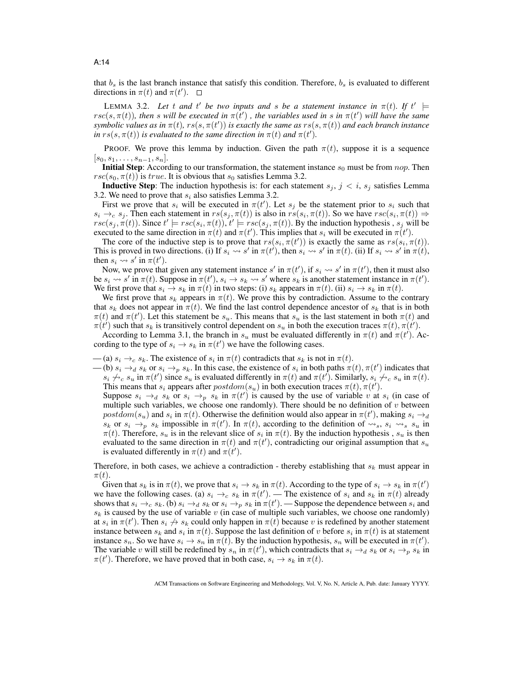that  $b_s$  is the last branch instance that satisfy this condition. Therefore,  $b_s$  is evaluated to different directions in  $\pi(t)$  and  $\pi(t')$ .

LEMMA 3.2. Let t and t' be two inputs and s be a statement instance in  $\pi(t)$ . If  $t' \models$  $rsc(s,\pi(t))$ , then s will be executed in  $\pi(\hat{t}')$  , the variables used in s in  $\pi(t')$  will have the same  $s$ ymbolic values as in  $\pi(t)$ ,  $rs(s, \pi(t'))$  is exactly the same as  $rs(s, \pi(t))$  and each branch instance *in*  $rs(s, \pi(t))$  *is evaluated to the same direction in*  $\pi(t)$  *and*  $\pi(t)$ *.* 

PROOF. We prove this lemma by induction. Given the path  $\pi(t)$ , suppose it is a sequence  $[s_0, s_1, \ldots, s_{n-1}, s_n].$ 

**Initial Step:** According to our transformation, the statement instance  $s_0$  must be from nop. Then  $rsc(s_0, \pi(t))$  is true. It is obvious that  $s_0$  satisfies Lemma 3.2.

**Inductive Step:** The induction hypothesis is: for each statement  $s_j$ ,  $j < i$ ,  $s_j$  satisfies Lemma 3.2. We need to prove that  $s_i$  also satisfies Lemma 3.2.

First we prove that  $s_i$  will be executed in  $\pi(t')$ . Let  $s_j$  be the statement prior to  $s_i$  such that  $s_i \to_c s_j$ . Then each statement in  $rs(s_j, \pi(t))$  is also in  $rs(s_i, \pi(t))$ . So we have  $rsc(s_i, \pi(t)) \Rightarrow$  $rsc(s_j, \pi(t))$ . Since  $t' \models rsc(s_i, \pi(t)), t' \models rsc(s_j, \pi(t))$ . By the induction hypothesis,  $s_j$  will be executed to the same direction in  $\pi(t)$  and  $\pi(t')$ . This implies that  $s_i$  will be executed in  $\pi(t')$ .

The core of the inductive step is to prove that  $rs(s_i, \pi(t'))$  is exactly the same as  $rs(s_i, \pi(t))$ . This is proved in two directions. (i) If  $s_i \rightsquigarrow s'$  in  $\pi(t')$ , then  $s_i' \rightsquigarrow s'$  in  $\pi(t)$ . (ii) If  $s_i \rightsquigarrow s'$  in  $\pi(t)$ , then  $s_i \leadsto s'$  in  $\pi(t')$ .

Now, we prove that given any statement instance s' in  $\pi(t')$ , if  $s_i \leadsto s'$  in  $\pi(t')$ , then it must also be  $s_i \leadsto s'$  in  $\pi(t)$ . Suppose in  $\pi(t')$ ,  $s_i \to s_k \leadsto s'$  where  $s_k$  is another statement instance in  $\pi(t')$ . We first prove that  $s_i \to s_k$  in  $\pi(t)$  in two steps: (i)  $s_k$  appears in  $\pi(t)$ . (ii)  $s_i \to s_k$  in  $\pi(t)$ .

We first prove that  $s_k$  appears in  $\pi(t)$ . We prove this by contradiction. Assume to the contrary that  $s_k$  does not appear in  $\pi(t)$ . We find the last control dependence ancestor of  $s_k$  that is in both  $\pi(t)$  and  $\pi(t')$ . Let this statement be  $s_u$ . This means that  $s_u$  is the last statement in both  $\pi(t)$  and  $\pi(t')$  such that  $s_k$  is transitively control dependent on  $s_u$  in both the execution traces  $\pi(t)$ ,  $\pi(t')$ .

According to Lemma 3.1, the branch in  $s_u$  must be evaluated differently in  $\pi(t)$  and  $\pi(t)$ . According to the type of  $s_i \to s_k$  in  $\pi(t')$  we have the following cases.

— (a)  $s_i \rightarrow_c s_k$ . The existence of  $s_i$  in  $\pi(t)$  contradicts that  $s_k$  is not in  $\pi(t)$ .

— (b)  $s_i \rightarrow_d s_k$  or  $s_i \rightarrow_p s_k$ . In this case, the existence of  $s_i$  in both paths  $\pi(t)$ ,  $\pi(t')$  indicates that  $s_i \nleftrightarrow_c s_u$  in  $\pi(t')$  since  $s_u$  is evaluated differently in  $\pi(t)$  and  $\pi(t')$ . Similarly,  $s_i \nleftrightarrow_c s_u$  in  $\pi(t)$ . This means that  $s_i$  appears after  $postdom(s_u)$  in both execution traces  $\pi(t)$ ,  $\pi(t')$ .

Suppose  $s_i \to_d s_k$  or  $s_i \to_p s_k$  in  $\pi(t')$  is caused by the use of variable v at  $s_i$  (in case of multiple such variables, we choose one randomly). There should be no definition of  $v$  between  $postdom(s_u)$  and  $s_i$  in  $\pi(t)$ . Otherwise the definition would also appear in  $\pi(t')$ , making  $s_i \rightarrow_d$  $s_k$  or  $s_i \to_p s_k$  impossible in  $\pi(t')$ . In  $\pi(t)$ , according to the definition of  $\leadsto_s s_i \leadsto_s s_u$  in  $\pi(t)$ . Therefore,  $s_u$  is in the relevant slice of  $s_i$  in  $\pi(t)$ . By the induction hypothesis,  $s_u$  is then evaluated to the same direction in  $\pi(t)$  and  $\pi(t')$ , contradicting our original assumption that  $s_u$ is evaluated differently in  $\pi(t)$  and  $\pi(t')$ .

Therefore, in both cases, we achieve a contradiction - thereby establishing that  $s_k$  must appear in  $\pi(t)$ .

Given that  $s_k$  is in  $\pi(t)$ , we prove that  $s_i \to s_k$  in  $\pi(t)$ . According to the type of  $s_i \to s_k$  in  $\pi(t')$ we have the following cases. (a)  $s_i \rightarrow_c s_k$  in  $\pi(t')$ . — The existence of  $s_i$  and  $s_k$  in  $\pi(t)$  already shows that  $s_i \to_c s_k$ . (b)  $s_i \to_d s_k$  or  $s_i \to_p s_k$  in  $\pi(t')$ . — Suppose the dependence between  $s_i$  and  $s_k$  is caused by the use of variable v (in case of multiple such variables, we choose one randomly) at  $s_i$  in  $\pi(t')$ . Then  $s_i \nrightarrow s_k$  could only happen in  $\pi(t)$  because v is redefined by another statement instance between  $s_k$  and  $s_i$  in  $\pi(t)$ . Suppose the last definition of v before  $s_i$  in  $\pi(t)$  is at statement instance  $s_n$ . So we have  $s_i \to s_n$  in  $\pi(t)$ . By the induction hypothesis,  $s_n$  will be executed in  $\pi(t')$ . The variable v will still be redefined by  $s_n$  in  $\pi(t')$ , which contradicts that  $s_i \to_d s_k$  or  $s_i \to_p s_k$  in  $\pi(t')$ . Therefore, we have proved that in both case,  $s_i \to s_k$  in  $\pi(t)$ .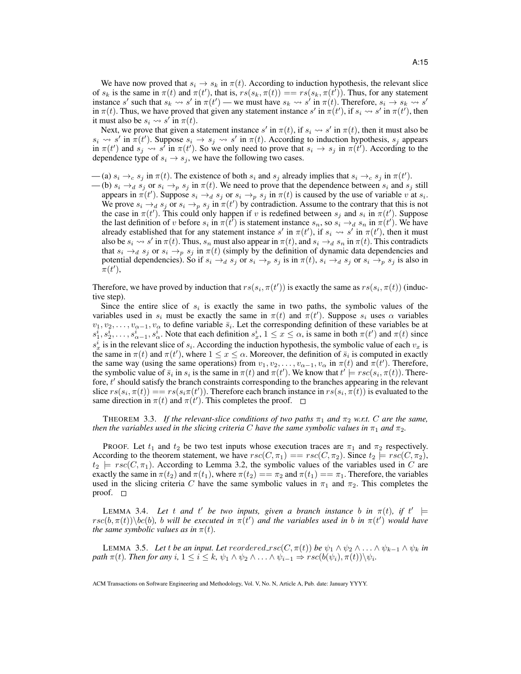Next, we prove that given a statement instance s' in  $\pi(t)$ , if  $s_i \leadsto s'$  in  $\pi(t)$ , then it must also be  $s_i \rightsquigarrow s'$  in  $\pi(t')$ . Suppose  $s_i \rightarrow s_j \rightsquigarrow s'$  in  $\pi(t)$ . According to induction hypothesis,  $s_j$  appears in  $\pi(t')$  and  $s_j \leadsto s'$  in  $\pi(t')$ . So we only need to prove that  $s_i \to s_j$  in  $\pi(t')$ . According to the dependence type of  $s_i \rightarrow s_j$ , we have the following two cases.

- (a)  $s_i \rightarrow_c s_j$  in  $\pi(t)$ . The existence of both  $s_i$  and  $s_j$  already implies that  $s_i \rightarrow_c s_j$  in  $\pi(t')$ .
- (b)  $s_i \rightarrow_d s_j$  or  $s_i \rightarrow_p s_j$  in  $\pi(t)$ . We need to prove that the dependence between  $s_i$  and  $s_j$  still appears in  $\pi(t')$ . Suppose  $s_i \to d s_j$  or  $s_i \to p s_j$  in  $\pi(t)$  is caused by the use of variable v at  $s_i$ . We prove  $s_i \to_d s_j$  or  $s_i \to_p s_j$  in  $\pi(t')$  by contradiction. Assume to the contrary that this is not the case in  $\pi(t')$ . This could only happen if v is redefined between  $s_j$  and  $s_i$  in  $\pi(t')$ . Suppose the last definition of v before  $s_i$  in  $\pi(t')$  is statement instance  $s_n$ , so  $s_i \to_d s_n$  in  $\pi(t')$ . We have already established that for any statement instance s' in  $\pi(t')$ , if  $s_i \leadsto s'$  in  $\pi(t')$ , then it must also be  $s_i \leadsto s'$  in  $\pi(t)$ . Thus,  $s_n$  must also appear in  $\pi(t)$ , and  $s_i \to d s_n$  in  $\pi(t)$ . This contradicts that  $s_i \rightarrow_d s_j$  or  $s_i \rightarrow_p s_j$  in  $\pi(t)$  (simply by the definition of dynamic data dependencies and potential dependencies). So if  $s_i \rightarrow_d s_j$  or  $s_i \rightarrow_p s_j$  is in  $\pi(t)$ ,  $s_i \rightarrow_d s_j$  or  $s_i \rightarrow_p s_j$  is also in  $\pi(t'),$

Therefore, we have proved by induction that  $rs(s_i, \pi(t'))$  is exactly the same as  $rs(s_i, \pi(t))$  (inductive step).

Since the entire slice of  $s_i$  is exactly the same in two paths, the symbolic values of the variables used in  $s_i$  must be exactly the same in  $\pi(t)$  and  $\pi(t')$ . Suppose  $s_i$  uses  $\alpha$  variables  $v_1, v_2, \ldots, v_{\alpha-1}, v_\alpha$  to define variable  $\bar{s}_i$ . Let the corresponding definition of these variables be at  $s_1^i, s_2^i, \ldots, s_{\alpha-1}^i, s_\alpha^i$ . Note that each definition  $s_x^i$ ,  $1 \le x \le \alpha$ , is same in both  $\pi(t')$  and  $\pi(t)$  since  $s_x^i$  is in the relevant slice of  $s_i$ . According the induction hypothesis, the symbolic value of each  $v_x$  is the same in  $\pi(t)$  and  $\pi(t')$ , where  $1 \le x \le \alpha$ . Moreover, the definition of  $\bar{s}_i$  is computed in exactly the same way (using the same operations) from  $v_1, v_2, \ldots, v_{\alpha-1}, v_\alpha$  in  $\pi(t)$  and  $\pi(t')$ . Therefore, the symbolic value of  $\bar{s}_i$  in  $s_i$  is the same in  $\pi(t)$  and  $\pi(t')$ . We know that  $t' \models \text{rsc}(s_i, \pi(t))$ . Therefore,  $t'$  should satisfy the branch constraints corresponding to the branches appearing in the relevant slice  $rs(s_i, \pi(t)) == rs(s_i\pi(t'))$ . Therefore each branch instance in  $rs(s_i, \pi(t))$  is evaluated to the same direction in  $\pi(t)$  and  $\pi(t')$ . This completes the proof.

**THEOREM 3.3.** *If the relevant-slice conditions of two paths*  $\pi_1$  *and*  $\pi_2$  *w.r.t. C are the same, then the variables used in the slicing criteria C have the same symbolic values in*  $\pi_1$  *and*  $\pi_2$ *.* 

PROOF. Let  $t_1$  and  $t_2$  be two test inputs whose execution traces are  $\pi_1$  and  $\pi_2$  respectively. According to the theorem statement, we have  $rsc(C, \pi_1) == rsc(C, \pi_2)$ . Since  $t_2 \models rsc(C, \pi_2)$ ,  $t_2$  =  $rsc(C, \pi_1)$ . According to Lemma 3.2, the symbolic values of the variables used in C are exactly the same in  $\pi(t_2)$  and  $\pi(t_1)$ , where  $\pi(t_2) = \pi_2$  and  $\pi(t_1) = \pi_1$ . Therefore, the variables used in the slicing criteria C have the same symbolic values in  $\pi_1$  and  $\pi_2$ . This completes the proof.  $\square$ 

LEMMA 3.4. Let t and t' be two inputs, given a branch instance b in  $\pi(t)$ , if t'  $rsc(b,\pi(t))\cdot bc(b)$ , b will be executed in  $\pi(t')$  and the variables used in b in  $\pi(t')$  would have *the same symbolic values as in*  $\pi(t)$ *.* 

LEMMA 3.5. Let *t* be an input. Let reordered\_rsc(C,  $\pi(t)$ ) be  $\psi_1 \wedge \psi_2 \wedge \ldots \wedge \psi_{k-1} \wedge \psi_k$  in *path*  $\pi(t)$ *. Then for any*  $i, 1 \leq i \leq k$ ,  $\psi_1 \wedge \psi_2 \wedge \ldots \wedge \psi_{i-1} \Rightarrow \text{rsc}(b(\psi_i), \pi(t)) \setminus \psi_i$ *.*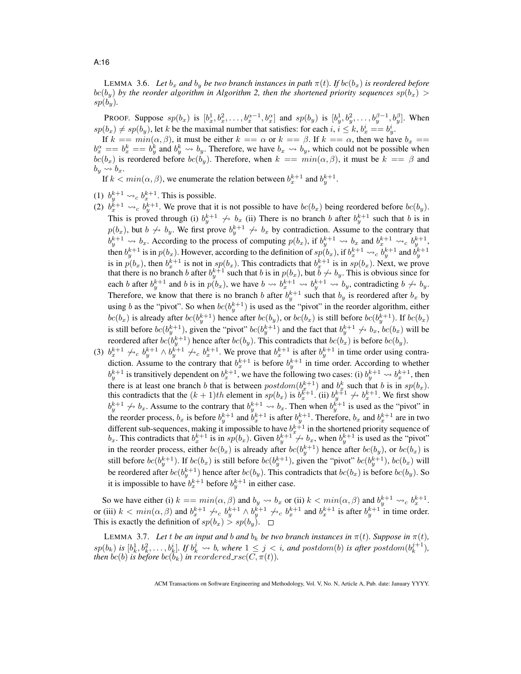LEMMA 3.6. Let  $b_x$  and  $b_y$  be two branch instances in path  $\pi(t)$ . If  $bc(b_x)$  is reordered before  $bc(b_y)$  by the reorder algorithm in Algorithm 2, then the shortened priority sequences  $sp(b_x)$  >  $sp(b_y)$ .

**PROOF.** Suppose  $sp(b_x)$  is  $[b_x^1, b_x^2, \ldots, b_x^{\alpha-1}, b_x^{\alpha}]$  and  $sp(b_y)$  is  $[b_y^1, b_y^2, \ldots, b_y^{\beta-1}, b_y^{\beta}]$ . When  $sp(b_x) \neq sp(b_y)$ , let k be the maximal number that satisfies: for each  $i, i \leq k, b_x^i == b_y^i$ .

If  $k == min(\alpha, \beta)$ , it must be either  $k == \alpha$  or  $k == \beta$ . If  $k == \alpha$ , then we have  $b_x ==$  $b_x^{\alpha} = b_x^k = b_y^k$  and  $b_y^k \leadsto b_y$ . Therefore, we have  $b_x \leadsto b_y$ , which could not be possible when  $bc(b_x)$  is reordered before  $bc(b_y)$ . Therefore, when  $k == min(\alpha, \beta)$ , it must be  $k == \beta$  and  $b_y \leadsto b_x.$ 

If  $k < min(\alpha, \beta)$ , we enumerate the relation between  $b_x^{k+1}$  and  $b_y^{k+1}$ .

- (1)  $b_y^{k+1} \rightsquigarrow_c b_x^{k+1}$ . This is possible.
- (2)  $b_x^{k+1} \rightsquigarrow_c b_y^{k+1}$ . We prove that it is not possible to have  $bc(b_x)$  being reordered before  $bc(b_y)$ . This is proved through (i)  $b_y^{k+1} \nleftrightarrow b_x$  (ii) There is no branch b after  $b_y^{k+1}$  such that b is in  $p(b_x)$ , but  $b \nleftrightarrow b_y$ . We first prove  $b_y^{k+1} \nleftrightarrow b_x$  by contradiction. Assume to the contrary that  $b_y^{k+1} \leadsto b_x$ . According to the process of computing  $p(b_x)$ , if  $b_y^{k+1} \leadsto b_x$  and  $b_x^{k+1} \leadsto_c b_y^{k+1}$ , then  $b_y^{k+1}$  is in  $p(b_x)$ . However, according to the definition of  $sp(b_x)$ , if  $b_x^{k+1} \sim_c b_y^{k+1}$  and  $b_y^{k+1}$ is in  $p(b_x)$ , then  $b_x^{k+1}$  is not in  $sp(b_x)$ . This contradicts that  $b_x^{k+1}$  is in  $sp(b_x)$ . Next, we prove that there is no branch b after  $b_y^{k+1}$  such that b is in  $p(b_x)$ , but  $\tilde{b} \nleftrightarrow b_y$ . This is obvious since for each b after  $b_y^{k+1}$  and b is in  $p(b_x)$ , we have  $b \leadsto b_x^{k+1} \leadsto b_y^{k+1} \leadsto b_y$ , contradicting  $b \leadsto b_y$ . Therefore, we know that there is no branch b after  $b_y^{k+1}$  such that  $b_y$  is reordered after  $b_x$  by using b as the "pivot". So when  $bc(b_y^{k+1})$  is used as the "pivot" in the reorder algorithm, either  $bc(b_x)$  is already after  $bc(b_y^{k+1})$  hence after  $bc(b_y)$ , or  $bc(b_x)$  is still before  $bc(b_y^{k+1})$ . If  $bc(b_x)$ is still before  $bc(b_y^{k+1})$ , given the "pivot"  $bc(b_y^{k+1})$  and the fact that  $b_y^{k+1} \nleftrightarrow b_x$ ,  $bc(b_x)$  will be reordered after  $bc(b_y^{k+1})$  hence after  $bc(b_y)$ . This contradicts that  $bc(b_x)$  is before  $bc(b_y)$ .
- (3)  $b_x^{k+1} \nleftrightarrow_c b_y^{k+1} \wedge b_y^{k+1} \nleftrightarrow_c b_x^{k+1}$ . We prove that  $b_x^{k+1}$  is after  $b_y^{k+1}$  in time order using contradiction. Assume to the contrary that  $b_x^{k+1}$  is before  $b_y^{k+1}$  in time order. According to whether  $b_y^{k+1}$  is transitively dependent on  $b_x^{k+1}$ , we have the following two cases: (i)  $b_y^{k+1} \leadsto b_x^{k+1}$ , then there is at least one branch b that is between  $postdom(b_x^{k+1})$  and  $b_x^k$  such that b is in  $sp(b_x)$ . this contradicts that the  $(k+1)th$  element in  $sp(b_x)$  is  $b_x^{k+1}$ . (ii)  $b_y^{k+1} \nleftrightarrow b_x^{k+1}$ . We first show  $b_y^{k+1} \nleftrightarrow b_x$ . Assume to the contrary that  $b_y^{k+1} \nleftrightarrow b_x$ . Then when  $b_y^{k+1}$  is used as the "pivot" in the reorder process,  $b_x$  is before  $b_y^{k+1}$  and  $b_x^{k+1}$  is after  $b_y^{k+1}$ . Therefore,  $b_x$  and  $b_x^{k+1}$  are in two different sub-sequences, making it impossible to have  $b_x^{k+1}$  in the shortened priority sequence of  $b_x$ . This contradicts that  $b_x^{k+1}$  is in  $sp(b_x)$ . Given  $b_y^{k+1} \not\rightarrow b_x$ , when  $b_y^{k+1}$  is used as the "pivot" in the reorder process, either  $bc(b_x)$  is already after  $bc(b_y^{k+1})$  hence after  $bc(b_y)$ , or  $bc(b_x)$  is still before  $bc(b_y^{k+1})$ . If  $bc(b_x)$  is still before  $bc(b_y^{k+1})$ , given the "pivot"  $bc(b_y^{k+1})$ ,  $bc(b_x)$  will be reordered after  $bc(b_y^{k+1})$  hence after  $bc(b_y)$ . This contradicts that  $bc(b_x)$  is before  $bc(b_y)$ . So it is impossible to have  $b_x^{k+1}$  before  $b_y^{k+1}$  in either case.

So we have either (i)  $k == min(\alpha, \beta)$  and  $b_y \leadsto b_x$  or (ii)  $k < min(\alpha, \beta)$  and  $b_y^{k+1} \leadsto_c b_x^{k+1}$ . or (iii)  $k < min(\alpha, \beta)$  and  $b_x^{k+1} \nleftrightarrow_c b_y^{k+1} \wedge b_y^{k+1} \nleftrightarrow_c b_x^{k+1}$  and  $b_x^{k+1}$  is after  $b_y^{k+1}$  in time order. This is exactly the definition of  $sp(b_x) > sp(b_y)$ .

LEMMA 3.7. Let t be an input and b and  $b_k$  be two branch instances in  $\pi(t)$ . Suppose in  $\pi(t)$ ,  $\{sp(b_k) \text{ is } [b_k^1, b_k^2, \ldots, b_k^i].$  If  $b_k^j \leadsto b$ , where  $1 \leq j \leq i$ , and postdom(b) is after postdom( $b_k^{j+1}$ ), *then bc*(*b*) *is before bc*(*b*<sub>*k*</sub>) *in* reordered  $rsc(C, \pi(t))$ *.*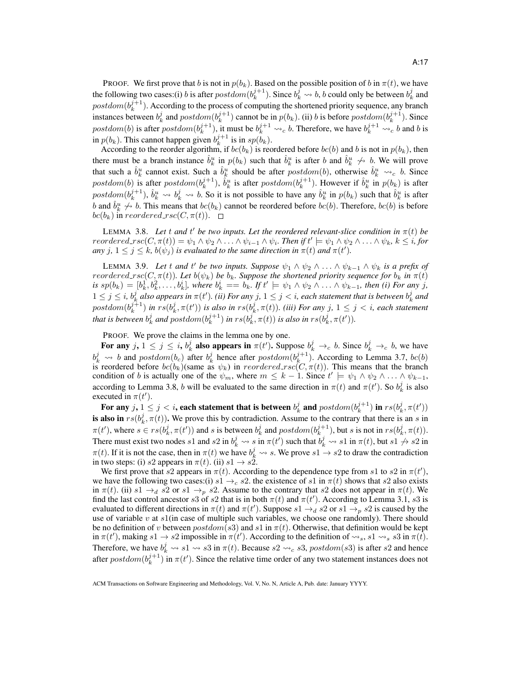PROOF. We first prove that b is not in  $p(b_k)$ . Based on the possible position of b in  $\pi(t)$ , we have the following two cases:(i) b is after  $postdom(b_k^{j+1})$ . Since  $b_k^j \leadsto b$ , b could only be between  $b_k^j$  and  $postdom(b_k^{j+1})$ . According to the process of computing the shortened priority sequence, any branch k instances between  $b_k^j$  and  $postdom(b_k^{j+1})$  cannot be in  $p(b_k)$ . (ii) b is before  $postdom(b_k^{j+1})$ . Since  $postdom(b)$  is after  $postdom(b_k^{j+1})$ , it must be  $b_k^{j+1} \leadsto_c b$ . Therefore, we have  $b_k^{j+1} \leadsto_c b$  and b is in  $p(b_k)$ . This cannot happen given  $b_k^{j+1}$  is in  $sp(b_k)$ .

According to the reorder algorithm, if  $bc(b_k)$  is reordered before  $bc(b)$  and b is not in  $p(b_k)$ , then there must be a branch instance  $\hat{b}_k^u$  in  $p(b_k)$  such that  $\hat{b}_k^u$  is after b and  $\hat{b}_k^u \nleftrightarrow b$ . We will prove that such a  $\hat{b}_k^u$  cannot exist. Such a  $\hat{b}_k^u$  should be after  $postdom(b)$ , otherwise  $\hat{b}_k^u \leadsto_c b$ . Since  $postdom(b)$  is after  $postdom(b_k^{j+1})$ ,  $\hat{b}_k^u$  is after  $postdom(b_k^{j+1})$ . However if  $\hat{b}_k^u$  in  $p(b_k)$  is after postdom $(b_k^{j+1})$ ,  $\hat{b}_k^u \leadsto b_k^j \leadsto b$ . So it is not possible to have any  $\hat{b}_k^u$  in  $p(b_k)$  such that  $\hat{b}_k^u$  is after b and  $\hat{b}_k^u \nleftrightarrow b$ . This means that  $bc(b_k)$  cannot be reordered before  $bc(b)$ . Therefore,  $bc(b)$  is before  $bc(b_k)$  in reordered\_rsc( $C, \pi(t)$ ).  $\Box$ 

LEMMA 3.8. Let t and t' be two inputs. Let the reordered relevant-slice condition in  $\pi(t)$  be  $reordered\_rsc(C, \pi(t)) = \psi_1 \wedge \psi_2 \wedge \ldots \wedge \psi_{i-1} \wedge \psi_i.$  Then if  $t' \models \psi_1 \wedge \psi_2 \wedge \ldots \wedge \psi_k, \, k \leq i$  , for *any*  $j$ ,  $1 \leq j \leq k$ ,  $b(\psi_j)$  *is evaluated to the same direction in*  $\pi(t)$  *and*  $\pi(t')$ *.* 

LEMMA 3.9. Let t and t' be two inputs. Suppose  $\psi_1 \wedge \psi_2 \wedge \ldots \wedge \psi_{k-1} \wedge \psi_k$  is a prefix of reordered rsc(C,  $\pi(t)$ )*. Let*  $b(\psi_k)$  *be*  $b_k$ *. Suppose the shortened priority sequence for*  $b_k$  *in*  $\pi(t)$  $\mathcal{L}(\mathbf{b}_k) = [b_k^1, b_k^2, \ldots, b_k^i],$  where  $b_k^i == b_k$ . If  $t' \models \psi_1 \land \psi_2 \land \ldots \land \psi_{k-1}$ , then (i) For any j,  $1\leq j\leq i$ ,  $b^j_k$  also appears in  $\pi(t').$  (ii) For any  $j,$   $1\leq j< i,$  each statement that is between  $b^j_k$  and  $postdom(b_k^{j+1})$  in  $rs(b_k^j, \pi(t'))$  is also in  $rs(b_k^j, \pi(t))$ . (iii) For any  $j$ ,  $1 \leq j < i$ , each statement *that is between*  $b_k^j$  *and*  $postdom(b_k^{j+1})$  *in*  $rs(b_k^j, \pi(t))$  *is also in*  $rs(b_k^j, \pi(t'))$ *.* 

PROOF. We prove the claims in the lemma one by one.

For any  $j, 1 \le j \le i$ ,  $b_k^j$  also appears in  $\pi(t')$ . Suppose  $b_k^j \to_c b$ . Since  $b_k^j \to_c b$ , we have  $b_k^j \leadsto b$  and postdom $(b_c)$  after  $b_k^j$  hence after postdom $(b_k^{j+1})$ . According to Lemma 3.7,  $bc(b)$ is reordered before  $bc(b_k)($ same as  $\psi_k$ ) in  $reordered\_rsc(C, \pi(t))$ . This means that the branch condition of b is actually one of the  $\psi_m$ , where  $m \leq k-1$ . Since  $t' \models \psi_1 \land \psi_2 \land \ldots \land \psi_{k-1}$ , according to Lemma 3.8, b will be evaluated to the same direction in  $\pi(t)$  and  $\pi(t')$ . So  $b_k^j$  is also executed in  $\pi(t')$ .

For any  $j, 1 \leq j < i$ , each statement that is between  $b_k^j$  and  $postdom(b_k^{j+1})$  in  $rs(b_k^j, \pi(t'))$ is also in  $rs(b_k^j, \pi(t))$ . We prove this by contradiction. Assume to the contrary that there is an s in  $\pi(t')$ , where  $s \in rs(b_k^j, \pi(t'))$  and s is between  $b_k^j$  and  $postdom(b_k^{j+1})$ , but s is not in  $rs(b_k^j, \pi(t))$ . There must exist two nodes  $s1$  and  $s2$  in  $b_k^j \leadsto s$  in  $\pi(t')$  such that  $b_k^j \leadsto s1$  in  $\pi(t)$ , but  $s1 \not\to s2$  in  $\pi(t)$ . If it is not the case, then in  $\pi(t)$  we have  $b_k^j \leadsto s$ . We prove  $s_1 \to s_2$  to draw the contradiction in two steps: (i) s2 appears in  $\pi(t)$ . (ii)  $s1 \rightarrow s2$ .

We first prove that s2 appears in  $\pi(t)$ . According to the dependence type from s1 to s2 in  $\pi(t')$ , we have the following two cases:(i)  $s1 \rightarrow c$  s2. the existence of s1 in  $\pi(t)$  shows that s2 also exists in  $\pi(t)$ . (ii)  $s1 \rightarrow_d s2$  or  $s1 \rightarrow_p s2$ . Assume to the contrary that s2 does not appear in  $\pi(t)$ . We find the last control ancestor s3 of s2 that is in both  $\pi(t)$  and  $\pi(t')$ . According to Lemma 3.1, s3 is evaluated to different directions in  $\pi(t)$  and  $\pi(t')$ . Suppose  $s1 \to d s2$  or  $s1 \to p s2$  is caused by the use of variable  $v$  at  $s1$  (in case of multiple such variables, we choose one randomly). There should be no definition of v between  $postdom(s3)$  and s1 in  $\pi(t)$ . Otherwise, that definition would be kept in  $\pi(t')$ , making  $s1 \to s2$  impossible in  $\pi(t')$ . According to the definition of  $\rightsquigarrow_s$ ,  $s1 \rightsquigarrow_s s3$  in  $\pi(t)$ . Therefore, we have  $b_k^j \leadsto s1 \leadsto s3$  in  $\pi(t)$ . Because  $s2 \leadsto_c s3$ ,  $postdom(s3)$  is after  $s2$  and hence after  $postdom(b_k^{j+1})$  in  $\pi(t')$ . Since the relative time order of any two statement instances does not

ACM Transactions on Software Engineering and Methodology, Vol. V, No. N, Article A, Pub. date: January YYYY.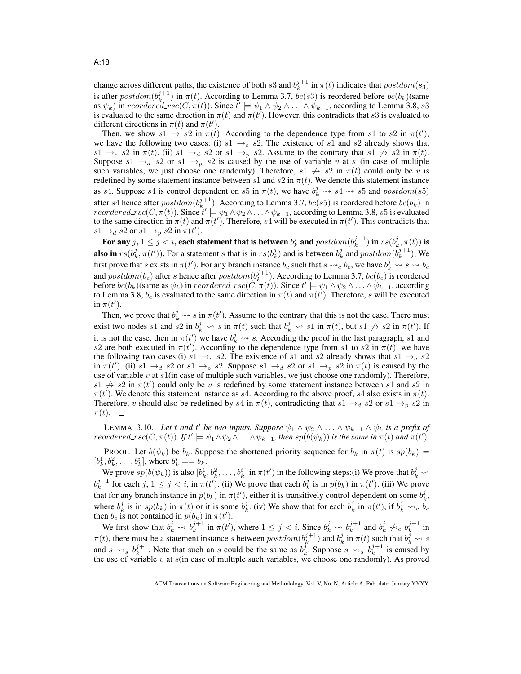change across different paths, the existence of both s3 and  $b_k^{j+1}$  in  $\pi(t)$  indicates that  $postdom(s_3)$ is after  $postdom(b_k^{j+1})$  in  $\pi(t)$ . According to Lemma 3.7,  $bc(s3)$  is reordered before  $bc(b_k)$ (same as  $\psi_k$ ) in  $reordered\_rsc(C, \pi(t))$ . Since  $\bar{t}' \models \psi_1 \wedge \psi_2 \wedge \ldots \wedge \psi_{k-1}$ , according to Lemma 3.8, s3 is evaluated to the same direction in  $\pi(t)$  and  $\pi(t')$ . However, this contradicts that s3 is evaluated to different directions in  $\pi(t)$  and  $\pi(t')$ .

Then, we show  $s1 \rightarrow s2$  in  $\pi(t)$ . According to the dependence type from s1 to s2 in  $\pi(t')$ , we have the following two cases: (i)  $s1 \rightarrow c s2$ . The existence of s1 and s2 already shows that  $s1 \rightarrow_c s2$  in  $\pi(t)$ . (ii)  $s1 \rightarrow_d s2$  or  $s1 \rightarrow_p s2$ . Assume to the contrary that  $s1 \not\rightarrow s2$  in  $\pi(t)$ . Suppose  $s1 \rightarrow_d s2$  or  $s1 \rightarrow_p s2$  is caused by the use of variable v at  $s1$  (in case of multiple such variables, we just choose one randomly). Therefore,  $s1 \nrightarrow s2$  in  $\pi(t)$  could only be v is redefined by some statement instance between s1 and s2 in  $\pi(t)$ . We denote this statement instance as s4. Suppose s4 is control dependent on s5 in  $\pi(t)$ , we have  $b_k^j \leadsto s4 \leadsto s5$  and  $postdom(s5)$ after s4 hence after  $postdom(b_k^{j+1})$ . According to Lemma 3.7,  $bc(s5)$  is reordered before  $bc(b_k)$  in  $reordered\_rsc(C, \pi(t))$ . Since  $t' \models \psi_1 \wedge \psi_2 \wedge \ldots \wedge \psi_{k-1}$ , according to Lemma 3.8, s5 is evaluated to the same direction in  $\pi(t)$  and  $\pi(t')$ . Therefore, s4 will be executed in  $\pi(t')$ . This contradicts that  $s1 \rightarrow_d s2 \text{ or } s1 \rightarrow_p s2 \text{ in } \pi(t').$ 

For any  $j, 1 \leq j < i,$  each statement that is between  $b^j_k$  and  $postdom(b^{j+1}_k)$  in  $rs(b^j_k,\pi(t))$  is **also in**  $rs(b_k^j, \pi(t'))$ . For a statement s that is in  $rs(b_k^j)$  and is between  $b_k^j$  and  $postdom(b_k^{j+1})$ , We first prove that s exists in  $\pi(t')$ . For any branch instance  $b_c$  such that  $s \leadsto_c b_c$ , we have  $b_k^j \leadsto s \leadsto b_c$ and  $postdom(b_c)$  after s hence after  $postdom(b_k^{j+1})$ . According to Lemma 3.7,  $bc(b_c)$  is reordered before  $bc(b_k)($ same as  $\psi_k$ ) in  $reordered\_rsc(\hat{C}, \pi(t))$ . Since  $t' \models \psi_1 \wedge \psi_2 \wedge \ldots \wedge \psi_{k-1}$ , according to Lemma 3.8,  $b_c$  is evaluated to the same direction in  $\pi(t)$  and  $\pi(t')$ . Therefore, s will be executed in  $\pi(t')$ .

Then, we prove that  $b_k^j \leadsto s$  in  $\pi(t')$ . Assume to the contrary that this is not the case. There must exist two nodes s1 and s2 in  $b_k^j \leadsto s$  in  $\pi(t)$  such that  $b_k^j \leadsto s1$  in  $\pi(t)$ , but s1  $\to s2$  in  $\pi(t')$ . If it is not the case, then in  $\pi(t')$  we have  $b_k^j \leadsto s$ . According the proof in the last paragraph, s1 and s2 are both executed in  $\pi(t')$ . According to the dependence type from s1 to s2 in  $\pi(t)$ , we have the following two cases:(i)  $s1 \rightarrow_c s2$ . The existence of s1 and s2 already shows that  $s1 \rightarrow_c s2$ in  $\pi(t')$ . (ii)  $s1 \rightarrow_d s2$  or  $s1 \rightarrow_p s2$ . Suppose  $s1 \rightarrow_d s2$  or  $s1 \rightarrow_p s2$  in  $\pi(t)$  is caused by the use of variable  $v$  at  $s1$ (in case of multiple such variables, we just choose one randomly). Therefore,  $s1 \nrightarrow s2$  in  $\pi(t')$  could only be v is redefined by some statement instance between s1 and s2 in  $\pi(t')$ . We denote this statement instance as s4. According to the above proof, s4 also exists in  $\pi(t)$ . Therefore, v should also be redefined by s4 in  $\pi(t)$ , contradicting that s1  $\rightarrow_d$  s2 or s1  $\rightarrow_p$  s2 in  $\pi(t)$ .  $\Box$ 

LEMMA 3.10. *Let* t and t' be two inputs. Suppose  $\psi_1 \wedge \psi_2 \wedge \ldots \wedge \psi_{k-1} \wedge \psi_k$  is a prefix of  $reordered\_rsc(C, \pi(t))$ . If  $t' \models \psi_1 \wedge \psi_2 \wedge \ldots \wedge \psi_{k-1}$ , then  $sp(b(\psi_k))$  is the same in  $\pi(t)$  and  $\pi(t')$ .

PROOF. Let  $b(\psi_k)$  be  $b_k$ . Suppose the shortened priority sequence for  $b_k$  in  $\pi(t)$  is  $sp(b_k)$  =  $[b_k^1, b_k^2, \dots, b_k^i]$ , where  $b_k^i == b_k$ .

We prove  $sp(b(\psi_k))$  is also  $[b_k^1, b_k^2, \dots, b_k^i]$  in  $\pi(t')$  in the following steps:(i) We prove that  $b_k^j \leadsto$  $b_k^{j+1}$  for each j,  $1 \le j < i$ , in  $\pi(t')$ . (ii) We prove that each  $b_k^j$  is in  $p(b_k)$  in  $\pi(t')$ . (iii) We prove that for any branch instance in  $p(b_k)$  in  $\pi(t')$ , either it is transitively control dependent on some  $b_k^j$ , where  $b_k^j$  is in  $sp(b_k)$  in  $\pi(t)$  or it is some  $b_k^j$ . (iv) We show that for each  $b_k^j$  in  $\pi(t')$ , if  $b_k^j \leadsto_c b_c$ where  $b_k$  is in  $sp(b_k)$  in  $h(b)$  of it is some  $b_k$ . (iv) we show that for each  $b_k$  then  $b_c$  is not contained in  $p(b_k)$  in  $\pi(t')$ .

We first show that  $b_k^j \leadsto b_k^{j+1}$  in  $\pi(t')$ , where  $1 \le j < i$ . Since  $b_k^j \leadsto b_k^{j+1}$  and  $b_k^j \leadsto b_k^{j+1}$  in  $\pi(t)$ , there must be a statement instance s between  $postdom(b_k^{j+1})$  and  $b_k^j$  in  $\pi(t)$  such that  $b_k^j \leadsto s$ and  $s \leadsto_s b_k^{j+1}$ . Note that such an s could be the same as  $b_k^j$ . Suppose  $s \leadsto_s b_k^{j+1}$  is caused by the use of variable  $v$  at  $s$ (in case of multiple such variables, we choose one randomly). As proved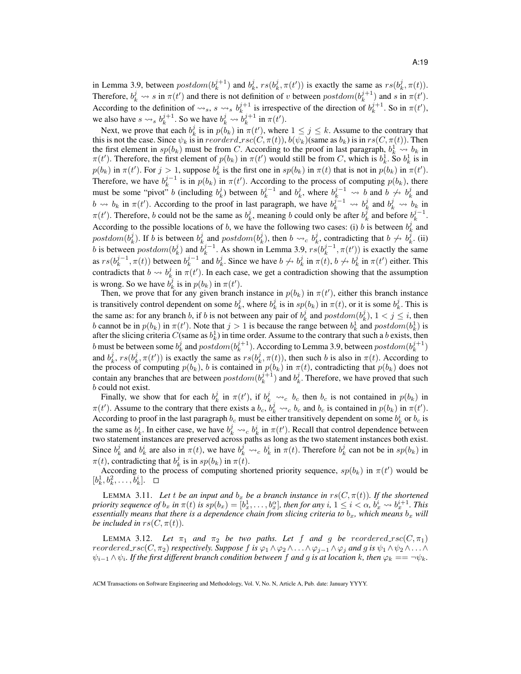Next, we prove that each  $b_k^j$  is in  $p(b_k)$  in  $\pi(t')$ , where  $1 \leq j \leq k$ . Assume to the contrary that this is not the case. Since  $\psi_k$  is in reorderd  $rsc(C, \pi(t))$ ,  $b(\psi_k)($ same as  $b_k$ ) is in  $rs(C, \pi(t))$ . Then the first element in  $sp(b_k)$  must be from C. According to the proof in last paragraph,  $b_k^1 \leadsto b_k$  in  $\pi(t')$ . Therefore, the first element of  $p(b_k)$  in  $\pi(t')$  would still be from C, which is  $b_k^1$ . So  $b_k^1$  is in  $p(b_k)$  in  $\pi(t')$ . For  $j > 1$ , suppose  $b_k^j$  is the first one in  $sp(b_k)$  in  $\pi(t)$  that is not in  $p(b_k)$  in  $\pi(t')$ . Therefore, we have  $b_k^{j-1}$  is in  $p(b_k)$  in  $\pi(t')$ . According to the process of computing  $p(b_k)$ , there must be some "pivot" b (including  $b_k^j$ ) between  $b_k^{j-1}$  and  $b_k^j$ , where  $b_k^{j-1} \leadsto b$  and  $b \not\leadsto b_k^j$  and  $b \leadsto b_k$  in  $\pi(t')$ . According to the proof in last paragraph, we have  $b_k^{j-1} \leadsto b_k^j$  and  $b_k^j \leadsto b_k$  in  $\pi(t')$ . Therefore, b could not be the same as  $b_k^j$ , meaning b could only be after  $b_k^j$  and before  $b_k^{j-1}$ . According to the possible locations of b, we have the following two cases: (i) b is between  $b_k^j$  and postdom $(b_k^j)$ . If b is between  $b_k^j$  and postdom $(b_k^j)$ , then  $b \leadsto_c b_k^j$ , contradicting that  $b \leadsto b_k^j$ . (ii) b is between  $postdom(b_k^j)$  and  $b_k^{j-1}$ . As shown in Lemma 3.9,  $rs(b_k^{j-1}, \pi(t'))$  is exactly the same as  $rs(b_k^{j-1}, \pi(t))$  between  $b_k^{j-1}$  and  $b_k^j$ . Since we have  $b \nleftrightarrow b_k^j$  in  $\pi(t)$ ,  $b \nleftrightarrow b_k^j$  in  $\pi(t')$  either. This contradicts that  $b \leadsto b_k^j$  in  $\pi(t')$ . In each case, we get a contradiction showing that the assumption is wrong. So we have  $b_k^j$  is in  $p(b_k)$  in  $\pi(t')$ .

Then, we prove that for any given branch instance in  $p(b_k)$  in  $\pi(t')$ , either this branch instance is transitively control dependent on some  $b_k^j$ , where  $b_k^j$  is in  $sp(b_k)$  in  $\pi(t)$ , or it is some  $b_k^j$ . This is the same as: for any branch b, if b is not between any pair of  $b_k^j$  and  $postdom(b_k^j)$ ,  $1 < j \le i$ , then b cannot be in  $p(b_k)$  in  $\pi(t')$ . Note that  $j > 1$  is because the range between  $b_k^1$  and  $postdom(b_k^1)$  is after the slicing criteria  $C(\text{same as } b_k^1)$  in time order. Assume to the contrary that such a b exists, then b must be between some  $b_k^j$  and  $postdom(b_k^{j+1})$ . According to Lemma 3.9, between  $postdom(b_k^{j+1})$ and  $b_k^j$ ,  $rs(b_k^j, \pi(t'))$  is exactly the same as  $rs(b_k^j, \pi(t))$ , then such b is also in  $\pi(t)$ . According to the process of computing  $p(b_k)$ , b is contained in  $p(b_k)$  in  $\pi(t)$ , contradicting that  $p(b_k)$  does not contain any branches that are between  $postdom(b_k^{j+1})$  and  $b_k^j$ . Therefore, we have proved that such b could not exist.

Finally, we show that for each  $b_k^j$  in  $\pi(t')$ , if  $b_k^j \leadsto_c b_c$  then  $b_c$  is not contained in  $p(b_k)$  in  $\pi(t')$ . Assume to the contrary that there exists a  $b_c$ ,  $b_k^j \leadsto_c b_c$  and  $b_c$  is contained in  $p(b_k)$  in  $\pi(t')$ . According to proof in the last paragraph  $b_c$  must be either transitively dependent on some  $b_k^i$  or  $b_c$  is the same as  $b_k^i$ . In either case, we have  $b_k^j \leadsto_c b_k^i$  in  $\pi(t')$ . Recall that control dependence between two statement instances are preserved across paths as long as the two statement instances both exist. Since  $b_k^j$  and  $b_k^i$  are also in  $\pi(t)$ , we have  $b_k^j \leadsto_c b_k^i$  in  $\pi(t)$ . Therefore  $b_k^j$  can not be in  $sp(b_k)$  in  $\pi(t)$ , contradicting that  $b_k^j$  is in  $sp(b_k)$  in  $\pi(t)$ .

According to the process of computing shortened priority sequence,  $sp(b_k)$  in  $\pi(t')$  would be  $[b_k^1, b_k^2, \ldots, b_k^i].$ 

LEMMA 3.11. Let *t* be an input and  $b_x$  be a branch instance in  $rs(C, \pi(t))$ . If the shortened *priority sequence of*  $b_x$  *in*  $\pi(t)$  *is*  $sp(b_x) = [b_x^1, \ldots, b_x^\alpha]$ *, then for any i*,  $1 \leq i \leq \alpha$ *,*  $b_x^i \leadsto b_x^{i+1}$ *. This essentially means that there is a dependence chain from slicing criteria to*  $b_x$ , which means  $b_x$  will *be included in*  $rs(C, \pi(t))$ *.* 

LEMMA 3.12. Let  $\pi_1$  and  $\pi_2$  be two paths. Let f and g be reordered  $rsc(C, \pi_1)$ *reordered\_rsc*( $C, \pi_2$ ) *respectively. Suppose*  $f$  *is*  $\varphi_1 \wedge \varphi_2 \wedge \ldots \wedge \varphi_{j-1} \wedge \varphi_j$  *and*  $g$  *is*  $\psi_1 \wedge \psi_2 \wedge \ldots \wedge \varphi_j$  $\psi_{i-1} \wedge \psi_i$ . If the first different branch condition between f and g is at location k, then  $\varphi_k = -\psi_k$ .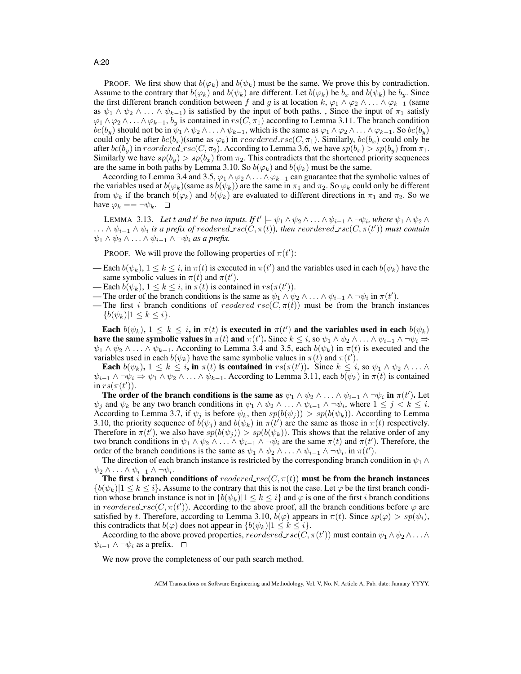PROOF. We first show that  $b(\varphi_k)$  and  $b(\psi_k)$  must be the same. We prove this by contradiction. Assume to the contrary that  $b(\varphi_k)$  and  $b(\psi_k)$  are different. Let  $b(\varphi_k)$  be  $b_x$  and  $b(\psi_k)$  be  $b_y$ . Since the first different branch condition between f and g is at location k,  $\varphi_1 \wedge \varphi_2 \wedge \ldots \wedge \varphi_{k-1}$  (same as  $\psi_1 \wedge \psi_2 \wedge \ldots \wedge \psi_{k-1}$  is satisfied by the input of both paths. , Since the input of  $\pi_1$  satisfy  $\varphi_1 \wedge \varphi_2 \wedge \ldots \wedge \varphi_{k-1}, b_y$  is contained in  $rs(C, \pi_1)$  according to Lemma 3.11. The branch condition  $bc(b_y)$  should not be in  $\psi_1 \wedge \psi_2 \wedge \ldots \wedge \psi_{k-1}$ , which is the same as  $\varphi_1 \wedge \varphi_2 \wedge \ldots \wedge \varphi_{k-1}$ . So  $bc(b_y)$ could only be after  $bc(b_x)$ (same as  $\varphi_k$ ) in reordered rsc(C,  $\pi_1$ ). Similarly,  $bc(b_x)$  could only be after  $bc(b_y)$  in  $reordered\_rsc(C, \pi_2)$ . According to Lemma 3.6, we have  $sp(b_x) > sp(b_y)$  from  $\pi_1$ . Similarly we have  $sp(b_y) > sp(b_x)$  from  $\pi_2$ . This contradicts that the shortened priority sequences are the same in both paths by Lemma 3.10. So  $b(\varphi_k)$  and  $b(\psi_k)$  must be the same.

According to Lemma 3.4 and 3.5,  $\varphi_1 \wedge \varphi_2 \wedge \ldots \wedge \varphi_{k-1}$  can guarantee that the symbolic values of the variables used at  $b(\varphi_k)(\text{same as } b(\psi_k))$  are the same in  $\pi_1$  and  $\pi_2$ . So  $\varphi_k$  could only be different from  $\psi_k$  if the branch  $b(\varphi_k)$  and  $b(\psi_k)$  are evaluated to different directions in  $\pi_1$  and  $\pi_2$ . So we have  $\varphi_k == \neg \psi_k$ .  $\Box$ 

LEMMA 3.13. Let t and t' be two inputs. If  $t' \models \psi_1 \land \psi_2 \land \ldots \land \psi_{i-1} \land \neg \psi_i$ , where  $\psi_1 \land \psi_2 \land \ldots \land \psi_i$  $\ldots \wedge \psi_{i-1} \wedge \psi_i$  is a prefix of  $reodered\_rsc(\dot{C}, \pi(t))$ , then  $reordered\_rsc(C, \pi(t'))$  must contain  $\psi_1 \wedge \psi_2 \wedge \ldots \wedge \psi_{i-1} \wedge \neg \psi_i$  *as a prefix.* 

PROOF. We will prove the following properties of  $\pi(t')$ :

- Each  $b(\psi_k)$ ,  $1 \le k \le i$ , in  $\pi(t)$  is executed in  $\pi(t')$  and the variables used in each  $b(\psi_k)$  have the same symbolic values in  $\pi(t)$  and  $\pi(t')$ .
- Each  $b(\psi_k)$ ,  $1 \le k \le i$ , in  $\pi(t)$  is contained in  $rs(\pi(t'))$ .
- The order of the branch conditions is the same as  $\psi_1 \wedge \psi_2 \wedge \ldots \wedge \psi_{i-1} \wedge \neg \psi_i$  in  $\pi(t')$ .
- The first i branch conditions of  $reodered_rsc(C, \pi(t))$  must be from the branch instances  ${b(\psi_k)|1 \leq k \leq i}.$

Each  $b(\psi_k)$ ,  $1 \leq k \leq i$ , in  $\pi(t)$  is executed in  $\pi(t')$  and the variables used in each  $b(\psi_k)$ have the same symbolic values in  $\pi(t)$  and  $\pi(t')$ . Since  $k \leq i$ , so  $\psi_1 \wedge \psi_2 \wedge \ldots \wedge \psi_{i-1} \wedge \neg \psi_i \Rightarrow$  $\psi_1 \wedge \psi_2 \wedge \ldots \wedge \psi_{k-1}$ . According to Lemma 3.4 and 3.5, each  $b(\psi_k)$  in  $\pi(t)$  is executed and the variables used in each  $b(\psi_k)$  have the same symbolic values in  $\pi(t)$  and  $\pi(t')$ .

Each  $b(\psi_k)$ ,  $1 \leq k \leq i$ , in  $\pi(t)$  is contained in  $rs(\pi(t'))$ . Since  $k \leq i$ , so  $\psi_1 \wedge \psi_2 \wedge \ldots \wedge \psi_k$  $\psi_{i-1} \wedge \neg \psi_i \Rightarrow \psi_1 \wedge \psi_2 \wedge \ldots \wedge \psi_{k-1}$ . According to Lemma 3.11, each  $b(\psi_k)$  in  $\pi(t)$  is contained in  $rs(\pi(t'))$ .

The order of the branch conditions is the same as  $\psi_1\wedge\psi_2\wedge\ldots\wedge\psi_{i-1}\wedge\neg\psi_i$  in  $\pi(t')$ . Let  $\psi_j$  and  $\psi_k$  be any two branch conditions in  $\psi_1 \wedge \psi_2 \wedge \ldots \wedge \psi_{i-1} \wedge \neg \psi_i$ , where  $1 \leq j < k \leq i$ . According to Lemma 3.7, if  $\psi_i$  is before  $\psi_k$ , then  $sp(b(\psi_i)) > sp(b(\psi_k))$ . According to Lemma 3.10, the priority sequence of  $\tilde{b}(\psi_j)$  and  $b(\psi_k)$  in  $\pi(t')$  are the same as those in  $\pi(t)$  respectively. Therefore in  $\pi(t')$ , we also have  $sp(b(\psi_j)) > sp(b(\psi_k))$ . This shows that the relative order of any two branch conditions in  $\psi_1 \wedge \psi_2 \wedge \ldots \wedge \psi_{i-1} \wedge \neg \psi_i$  are the same  $\pi(t)$  and  $\pi(t')$ . Therefore, the order of the branch conditions is the same as  $\psi_1 \wedge \psi_2 \wedge \ldots \wedge \psi_{i-1} \wedge \neg \psi_i$ , in  $\pi(t')$ .

The direction of each branch instance is restricted by the corresponding branch condition in  $\psi_1 \wedge \psi_2$  $\psi_2 \wedge \ldots \wedge \psi_{i-1} \wedge \neg \psi_i.$ 

The first i branch conditions of  $reodered\_rsc(C, \pi(t))$  must be from the branch instances  ${b(\psi_k)}$   $1 \leq k \leq i$ . Assume to the contrary that this is not the case. Let  $\varphi$  be the first branch condition whose branch instance is not in  $\{b(\psi_k)|1 \leq k \leq i\}$  and  $\varphi$  is one of the first i branch conditions in reordered rsc(C,  $\pi(t')$ ). According to the above proof, all the branch conditions before  $\varphi$  are satisfied by t. Therefore, according to Lemma 3.10,  $b(\varphi)$  appears in  $\pi(t)$ . Since  $sp(\varphi) > sp(\psi_i)$ , this contradicts that  $b(\varphi)$  does not appear in  $\{b(\psi_k)|1 \leq k \leq i\}$ .

According to the above proved properties,  $reordered\_rsc(\tilde{C}, \pi(t'))$  must contain  $\psi_1 \wedge \psi_2 \wedge \ldots \wedge$  $\psi_{i-1} \wedge \neg \psi_i$  as a prefix.  $\square$ 

We now prove the completeness of our path search method.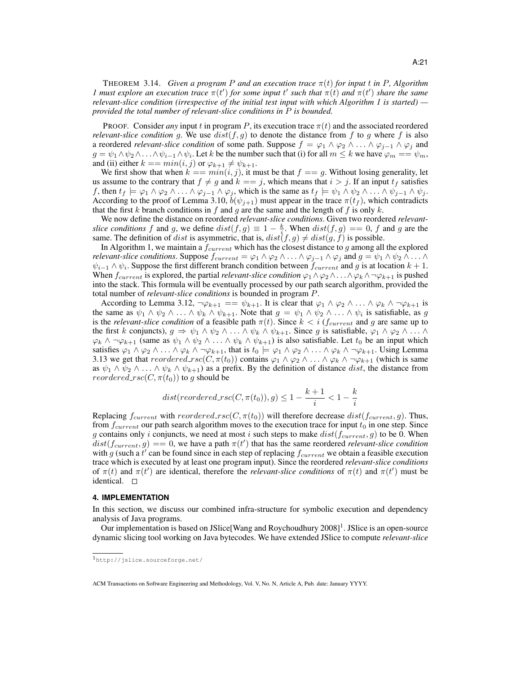**THEOREM** 3.14. *Given a program P and an execution trace*  $\pi(t)$  *for input t in P*, *Algorithm 1* must explore an execution trace  $\pi(t')$  for some input t' such that  $\pi(t)$  and  $\pi(t')$  share the same *relevant-slice condition (irrespective of the initial test input with which Algorithm 1 is started) provided the total number of relevant-slice conditions in* P *is bounded.*

**PROOF.** Consider *any* input t in program P, its execution trace  $\pi(t)$  and the associated reordered *relevant-slice condition* g. We use  $dist(f, g)$  to denote the distance from f to g where f is also a reordered *relevant-slice condition* of some path. Suppose  $f = \varphi_1 \wedge \varphi_2 \wedge \ldots \wedge \varphi_{j-1} \wedge \varphi_j$  and  $g = \psi_1 \wedge \psi_2 \wedge \ldots \wedge \psi_{i-1} \wedge \psi_i$ . Let k be the number such that (i) for all  $m \leq k$  we have  $\varphi_m == \psi_m$ , and (ii) either  $k == min(i, j)$  or  $\varphi_{k+1} \neq \psi_{k+1}$ .

We first show that when  $k == min(i, j)$ , it must be that  $f == g$ . Without losing generality, let us assume to the contrary that  $f \neq g$  and  $k == j$ , which means that  $i > j$ . If an input  $t_f$  satisfies f, then  $t_f \models \varphi_1 \land \varphi_2 \land \ldots \land \varphi_{j-1} \land \varphi_j$ , which is the same as  $t_f \models \psi_1 \land \psi_2 \land \ldots \land \psi_{j-1} \land \psi_j$ . According to the proof of Lemma 3.10,  $b(\psi_{j+1})$  must appear in the trace  $\pi(t_f)$ , which contradicts that the first k branch conditions in f and g are the same and the length of f is only k.

We now define the distance on reordered *relevant-slice conditions*. Given two reordered *relevantslice conditions* f and g, we define  $dist(f, g) \equiv 1 - \frac{k}{i}$ . When  $dist(f, g) = 0$ , f and g are the same. The definition of *dist* is asymmetric, that is,  $dist(f, g) \neq dist(g, f)$  is possible.

In Algorithm 1, we maintain a  $f_{current}$  which has the closest distance to  $g$  among all the explored *relevant-slice conditions.* Suppose  $f_{current} = \varphi_1 \wedge \varphi_2 \wedge \ldots \wedge \varphi_{j-1} \wedge \varphi_j$  and  $g = \psi_1 \wedge \psi_2 \wedge \ldots \wedge \varphi_j$  $\psi_{i-1} \wedge \psi_i$ . Suppose the first different branch condition between  $f_{current}$  and g is at location  $k + 1$ . When  $f_{current}$  is explored, the partial *relevant-slice condition*  $\varphi_1 \wedge \varphi_2 \wedge \ldots \wedge \varphi_k \wedge \neg \varphi_{k+1}$  is pushed into the stack. This formula will be eventually processed by our path search algorithm, provided the total number of *relevant-slice conditions* is bounded in program P.

According to Lemma 3.12,  $\neg \varphi_{k+1} = \psi_{k+1}$ . It is clear that  $\varphi_1 \wedge \varphi_2 \wedge \dots \wedge \varphi_k \wedge \neg \varphi_{k+1}$  is the same as  $\psi_1 \wedge \psi_2 \wedge ... \wedge \psi_k \wedge \psi_{k+1}$ . Note that  $g = \psi_1 \wedge \psi_2 \wedge ... \wedge \psi_i$  is satisfiable, as g is the *relevant-slice condition* of a feasible path  $\pi(t)$ . Since  $k < i$  ( $f_{current}$  and g are same up to the first k conjuncts),  $g \Rightarrow \psi_1 \wedge \psi_2 \wedge ... \wedge \psi_k \wedge \psi_{k+1}$ . Since g is satisfiable,  $\varphi_1 \wedge \varphi_2 \wedge ... \wedge \varphi_k$  $\varphi_k \wedge \neg \varphi_{k+1}$  (same as  $\psi_1 \wedge \psi_2 \wedge \dots \wedge \psi_k \wedge \psi_{k+1}$ ) is also satisfiable. Let  $t_0$  be an input which satisfies  $\varphi_1 \wedge \varphi_2 \wedge ... \wedge \varphi_k \wedge \neg \varphi_{k+1}$ , that is  $t_0 \models \varphi_1 \wedge \varphi_2 \wedge ... \wedge \varphi_k \wedge \neg \varphi_{k+1}$ . Using Lemma 3.13 we get that  $reordered\_rsc(C, \pi(t_0))$  contains  $\varphi_1 \wedge \varphi_2 \wedge ... \wedge \varphi_k \wedge \neg \varphi_{k+1}$  (which is same as  $\psi_1 \wedge \psi_2 \wedge \ldots \wedge \psi_k \wedge \psi_{k+1}$  as a prefix. By the definition of distance dist, the distance from *reordered\_rsc*( $C, \pi(t_0)$ ) to g should be

$$
dist(reordered\_rsc(C, \pi(t_0)), g) \le 1 - \frac{k+1}{i} < 1 - \frac{k}{i}
$$

Replacing  $f_{current}$  with  $reordered\_rsc(C, \pi(t_0))$  will therefore decrease  $dist(f_{current}, g)$ . Thus, from  $f_{current}$  our path search algorithm moves to the execution trace for input  $t_0$  in one step. Since g contains only i conjuncts, we need at most i such steps to make  $dist(f_{current}, g)$  to be 0. When  $dist(f_{current}, g) = 0$ , we have a path  $\pi(t')$  that has the same reordered *relevant-slice condition* with g (such a t' can be found since in each step of replacing  $f_{current}$  we obtain a feasible execution trace which is executed by at least one program input). Since the reordered *relevant-slice conditions* of  $\pi(t)$  and  $\pi(t')$  are identical, therefore the *relevant-slice conditions* of  $\pi(t)$  and  $\pi(t')$  must be identical.  $\square$ 

#### **4. IMPLEMENTATION**

In this section, we discuss our combined infra-structure for symbolic execution and dependency analysis of Java programs.

Our implementation is based on JSlice[Wang and Roychoudhury 2008]<sup>1</sup>. JSlice is an open-source dynamic slicing tool working on Java bytecodes. We have extended JSlice to compute *relevant-slice*

<sup>1</sup>http://jslice.sourceforge.net/

ACM Transactions on Software Engineering and Methodology, Vol. V, No. N, Article A, Pub. date: January YYYY.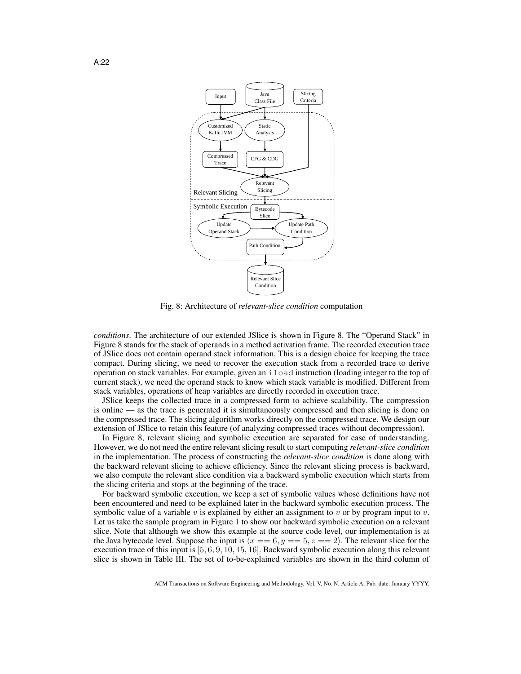

Fig. 8: Architecture of *relevant-slice condition* computation

*conditions*. The architecture of our extended JSlice is shown in Figure 8. The "Operand Stack" in Figure 8 stands for the stack of operands in a method activation frame. The recorded execution trace of JSlice does not contain operand stack information. This is a design choice for keeping the trace compact. During slicing, we need to recover the execution stack from a recorded trace to derive operation on stack variables. For example, given an iload instruction (loading integer to the top of current stack), we need the operand stack to know which stack variable is modified. Different from stack variables, operations of heap variables are directly recorded in execution trace.

JSlice keeps the collected trace in a compressed form to achieve scalability. The compression is online — as the trace is generated it is simultaneously compressed and then slicing is done on the compressed trace. The slicing algorithm works directly on the compressed trace. We design our extension of JSlice to retain this feature (of analyzing compressed traces without decompression).

In Figure 8, relevant slicing and symbolic execution are separated for ease of understanding. However, we do not need the entire relevant slicing result to start computing *relevant-slice condition* in the implementation. The process of constructing the *relevant-slice condition* is done along with the backward relevant slicing to achieve efficiency. Since the relevant slicing process is backward, we also compute the relevant slice condition via a backward symbolic execution which starts from the slicing criteria and stops at the beginning of the trace.

For backward symbolic execution, we keep a set of symbolic values whose definitions have not been encountered and need to be explained later in the backward symbolic execution process. The symbolic value of a variable v is explained by either an assignment to v or by program input to v. Let us take the sample program in Figure 1 to show our backward symbolic execution on a relevant slice. Note that although we show this example at the source code level, our implementation is at the Java bytecode level. Suppose the input is  $\overline{\langle x = 6, y = 5, z = 2 \rangle}$ . The relevant slice for the execution trace of this input is [5, 6, 9, 10, 15, 16]. Backward symbolic execution along this relevant slice is shown in Table III. The set of to-be-explained variables are shown in the third column of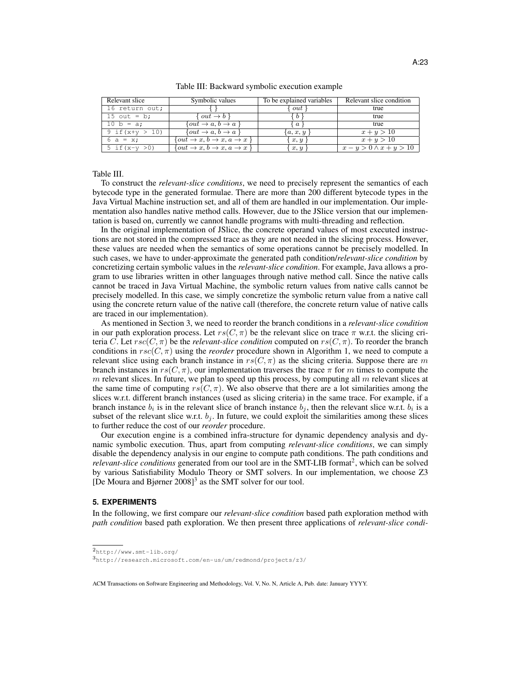| Relevant slice    | Symbolic values                                           | To be explained variables | Relevant slice condition      |  |  |
|-------------------|-----------------------------------------------------------|---------------------------|-------------------------------|--|--|
| 16 return out;    |                                                           | out                       | true                          |  |  |
| 15 out = $b$ ;    | $out \rightarrow b$                                       | $\bm{b}$                  | true                          |  |  |
| $10 b = a;$       | $\{out \rightarrow a, b \rightarrow a\}$                  | $\boldsymbol{a}$          | true                          |  |  |
| 9 if $(x+y > 10)$ | $\{out \rightarrow a, b \rightarrow a\}$                  | a, x, y                   | $x + y > 10$                  |  |  |
| $6a = x;$         | $\{out \rightarrow x, b \rightarrow x, a \rightarrow x\}$ | x, y                      | $x + y > 10$                  |  |  |
| 5 if $(x-y > 0)$  | $\{out \rightarrow x, b \rightarrow x, a \rightarrow x\}$ | x, y                      | $x - y > 0 \wedge x + y > 10$ |  |  |

Table III: Backward symbolic execution example

# Table III.

To construct the *relevant-slice conditions*, we need to precisely represent the semantics of each bytecode type in the generated formulae. There are more than 200 different bytecode types in the Java Virtual Machine instruction set, and all of them are handled in our implementation. Our implementation also handles native method calls. However, due to the JSlice version that our implementation is based on, currently we cannot handle programs with multi-threading and reflection.

In the original implementation of JSlice, the concrete operand values of most executed instructions are not stored in the compressed trace as they are not needed in the slicing process. However, these values are needed when the semantics of some operations cannot be precisely modelled. In such cases, we have to under-approximate the generated path condition/*relevant-slice condition* by concretizing certain symbolic values in the *relevant-slice condition*. For example, Java allows a program to use libraries written in other languages through native method call. Since the native calls cannot be traced in Java Virtual Machine, the symbolic return values from native calls cannot be precisely modelled. In this case, we simply concretize the symbolic return value from a native call using the concrete return value of the native call (therefore, the concrete return value of native calls are traced in our implementation).

As mentioned in Section 3, we need to reorder the branch conditions in a *relevant-slice condition* in our path exploration process. Let  $rs(C, \pi)$  be the relevant slice on trace  $\pi$  w.r.t. the slicing criteria C. Let  $rsc(C, \pi)$  be the *relevant-slice condition* computed on  $rs(C, \pi)$ . To reorder the branch conditions in  $rsc(C, \pi)$  using the *reorder* procedure shown in Algorithm 1, we need to compute a relevant slice using each branch instance in  $rs(C, \pi)$  as the slicing criteria. Suppose there are m branch instances in  $rs(C, \pi)$ , our implementation traverses the trace  $\pi$  for m times to compute the  $m$  relevant slices. In future, we plan to speed up this process, by computing all  $m$  relevant slices at the same time of computing  $rs(C, \pi)$ . We also observe that there are a lot similarities among the slices w.r.t. different branch instances (used as slicing criteria) in the same trace. For example, if a branch instance  $b_i$  is in the relevant slice of branch instance  $b_j$ , then the relevant slice w.r.t.  $b_i$  is a subset of the relevant slice w.r.t.  $b_j$ . In future, we could exploit the similarities among these slices to further reduce the cost of our *reorder* procedure.

Our execution engine is a combined infra-structure for dynamic dependency analysis and dynamic symbolic execution. Thus, apart from computing *relevant-slice conditions*, we can simply disable the dependency analysis in our engine to compute path conditions. The path conditions and relevant-slice conditions generated from our tool are in the SMT-LIB format<sup>2</sup>, which can be solved by various Satisfiability Modulo Theory or SMT solvers. In our implementation, we choose Z3 [De Moura and Bjørner  $2008$ ]<sup>3</sup> as the SMT solver for our tool.

#### **5. EXPERIMENTS**

In the following, we first compare our *relevant-slice condition* based path exploration method with *path condition* based path exploration. We then present three applications of *relevant-slice condi-*

<sup>2</sup>http://www.smt-lib.org/

<sup>3</sup>http://research.microsoft.com/en-us/um/redmond/projects/z3/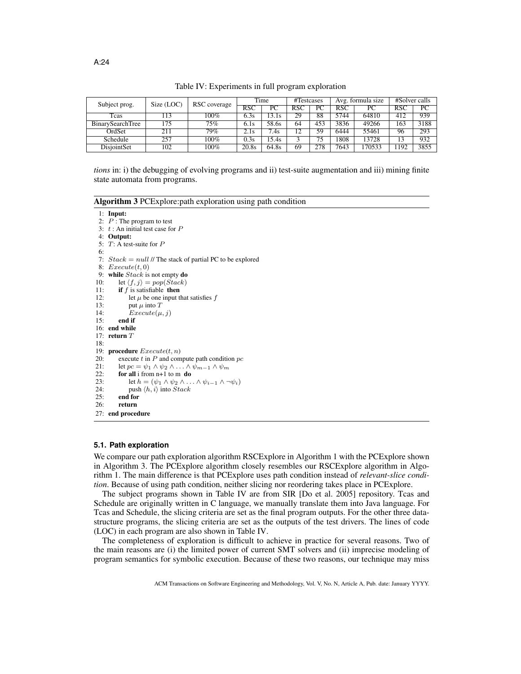| Subject prog.           | Size (LOC) | RSC coverage | Time                      |       | #Testcases |     | Avg. formula size |        | #Solver calls |      |
|-------------------------|------------|--------------|---------------------------|-------|------------|-----|-------------------|--------|---------------|------|
|                         |            |              | $\overline{\mathrm{RSC}}$ | PС    | <b>RSC</b> | PС  | <b>RSC</b>        | РC     | <b>RSC</b>    | PC   |
| Tcas                    | 113        | 100%         | 6.3s                      | 13.1s | 29         | 88  | 5744              | 64810  | 412           | 939  |
| <b>BinarySearchTree</b> | 175        | 75%          | 6.1s                      | 58.6s | 64         | 453 | 3836              | 49266  | 163           | 3188 |
| OrdSet                  | 211        | 79%          | 2.1s                      | 7.4s  |            | 59  | 6444              | 55461  | 96            | 293  |
| Schedule                | 257        | 100%         | 0.3s                      | 15.4s |            | 75  | 1808              | 13728  |               | 932  |
| DisjointSet             | 102        | 100%         | 20.8s                     | 64.8s | 69         | 278 | 7643              | 170533 | 1192          | 3855 |

Table IV: Experiments in full program exploration

*tions* in: i) the debugging of evolving programs and ii) test-suite augmentation and iii) mining finite state automata from programs.

Algorithm 3 PCExplore:path exploration using path condition

```
1: Input:
 2: \vec{P}: The program to test
 3: t : An initial test case for P4: Output:
 5: T: A test-suite for P
 6:
 7: Stack = null // The stack of partial PC to be explored
 8: Execute(t, 0)9: while Stack is not empty do
10: let \langle f, j \rangle = pop(Stack)<br>11: if f is satisfiable then
           if f is satisfiable then
12: let \mu be one input that satisfies f<br>13: put \mu into T13: put \mu into T<br>14: Execute(\mu)
                 Execute(\mu, j)15: end if
16: end while
17: return T18:
19: procedure Execute(t, n)<br>20: execute t in P and com
20: execute t in P and compute path condition pc<br>
21: let pc = \psi_1 \wedge \psi_2 \wedge \ldots \wedge \psi_{m-1} \wedge \psi_m21: let pc = \psi_1 \wedge \psi_2 \wedge \ldots \wedge \psi_{m-1} \wedge \psi_m<br>22. for all i from n+1 to m do
            for all i from n+1 to m do
23: let h = (\psi_1 \land \psi_2 \land ... \land \psi_{i-1} \land \neg \psi_i)<br>24: push \langle h, i \rangle into Stack
24: push \langle h, i \rangle into Stack<br>25: and for
            end for
26: return
27: end procedure
```
## **5.1. Path exploration**

We compare our path exploration algorithm RSCExplore in Algorithm 1 with the PCExplore shown in Algorithm 3. The PCExplore algorithm closely resembles our RSCExplore algorithm in Algorithm 1. The main difference is that PCExplore uses path condition instead of *relevant-slice condition*. Because of using path condition, neither slicing nor reordering takes place in PCExplore.

The subject programs shown in Table IV are from SIR [Do et al. 2005] repository. Tcas and Schedule are originally written in C language, we manually translate them into Java language. For Tcas and Schedule, the slicing criteria are set as the final program outputs. For the other three datastructure programs, the slicing criteria are set as the outputs of the test drivers. The lines of code (LOC) in each program are also shown in Table IV.

The completeness of exploration is difficult to achieve in practice for several reasons. Two of the main reasons are (i) the limited power of current SMT solvers and (ii) imprecise modeling of program semantics for symbolic execution. Because of these two reasons, our technique may miss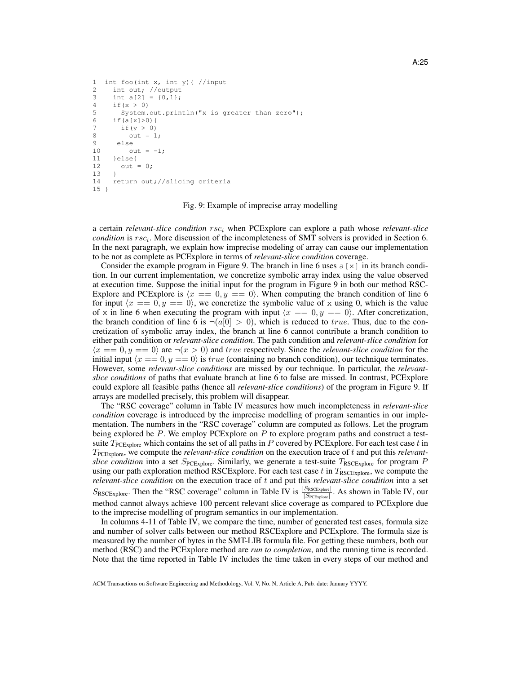```
1 int foo(int x, int y){ //input<br>2 int out; //output
    int out; //output
3 int a[2] = \{0, 1\};
4 \quad \text{if}(x > 0)5 System.out.println("x is greater than zero");
6 if(a[x]>0){
7 if(y > 0)8 out = 1;
9 else
10 out = -1;11 }else{
12 out = 0;13 }
14 return out;//slicing criteria
15 }
```
Fig. 9: Example of imprecise array modelling

a certain *relevant-slice condition* rsc<sup>i</sup> when PCExplore can explore a path whose *relevant-slice* condition is  $rsc_i$ . More discussion of the incompleteness of SMT solvers is provided in Section 6. In the next paragraph, we explain how imprecise modeling of array can cause our implementation to be not as complete as PCExplore in terms of *relevant-slice condition* coverage.

Consider the example program in Figure 9. The branch in line 6 uses  $a[x]$  in its branch condition. In our current implementation, we concretize symbolic array index using the value observed at execution time. Suppose the initial input for the program in Figure 9 in both our method RSC-Explore and PCExplore is  $\langle x \rangle = 0, y \rangle = 0$ . When computing the branch condition of line 6 for input  $\langle x == 0, y == 0 \rangle$ , we concretize the symbolic value of x using 0, which is the value of x in line 6 when executing the program with input  $\langle x == 0, y == 0 \rangle$ . After concretization, the branch condition of line 6 is  $\neg(a[0] > 0)$ , which is reduced to *true*. Thus, due to the concretization of symbolic array index, the branch at line 6 cannot contribute a branch condition to either path condition or *relevant-slice condition*. The path condition and *relevant-slice condition* for  $\langle x == 0, y == 0 \rangle$  are  $\neg(x > 0)$  and *true* respectively. Since the *relevant-slice condition* for the initial input  $\langle x == 0, y == 0 \rangle$  is true (containing no branch condition), our technique terminates. However, some *relevant-slice conditions* are missed by our technique. In particular, the *relevantslice conditions* of paths that evaluate branch at line 6 to false are missed. In contrast, PCExplore could explore all feasible paths (hence all *relevant-slice conditions*) of the program in Figure 9. If arrays are modelled precisely, this problem will disappear.

The "RSC coverage" column in Table IV measures how much incompleteness in *relevant-slice condition* coverage is introduced by the imprecise modelling of program semantics in our implementation. The numbers in the "RSC coverage" column are computed as follows. Let the program being explored be P. We employ PCExplore on P to explore program paths and construct a testsuite  $T_{\text{PCExplore}}$  which contains the set of all paths in P covered by PCExplore. For each test case t in TPCExplore, we compute the *relevant-slice condition* on the execution trace of t and put this *relevantslice condition* into a set  $S_{\text{PCExplore}}$ . Similarly, we generate a test-suite  $T_{\text{RSCExplore}}$  for program P using our path exploration method RSCExplore. For each test case  $t$  in  $T_{\text{RSCExplore}}$ , we compute the *relevant-slice condition* on the execution trace of t and put this *relevant-slice condition* into a set  $S_{\text{RSCExplore}}$ . Then the "RSC coverage" column in Table IV is  $\frac{|S_{\text{RSCExplore}}|}{|S_{\text{PCExplore}}|}$ . As shown in Table IV, our method cannot always achieve 100 percent relevant slice coverage as compared to PCExplore due to the imprecise modelling of program semantics in our implementation.

In columns 4-11 of Table IV, we compare the time, number of generated test cases, formula size and number of solver calls between our method RSCExplore and PCExplore. The formula size is measured by the number of bytes in the SMT-LIB formula file. For getting these numbers, both our method (RSC) and the PCExplore method are *run to completion*, and the running time is recorded. Note that the time reported in Table IV includes the time taken in every steps of our method and

ACM Transactions on Software Engineering and Methodology, Vol. V, No. N, Article A, Pub. date: January YYYY.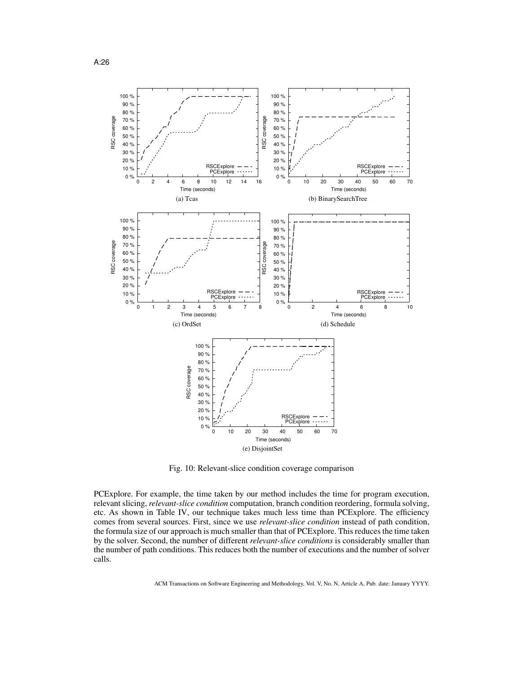

Fig. 10: Relevant-slice condition coverage comparison

PCExplore. For example, the time taken by our method includes the time for program execution, relevant slicing, *relevant-slice condition* computation, branch condition reordering, formula solving, etc. As shown in Table IV, our technique takes much less time than PCExplore. The efficiency comes from several sources. First, since we use *relevant-slice condition* instead of path condition, the formula size of our approach is much smaller than that of PCExplore. This reduces the time taken by the solver. Second, the number of different *relevant-slice conditions* is considerably smaller than the number of path conditions. This reduces both the number of executions and the number of solver calls.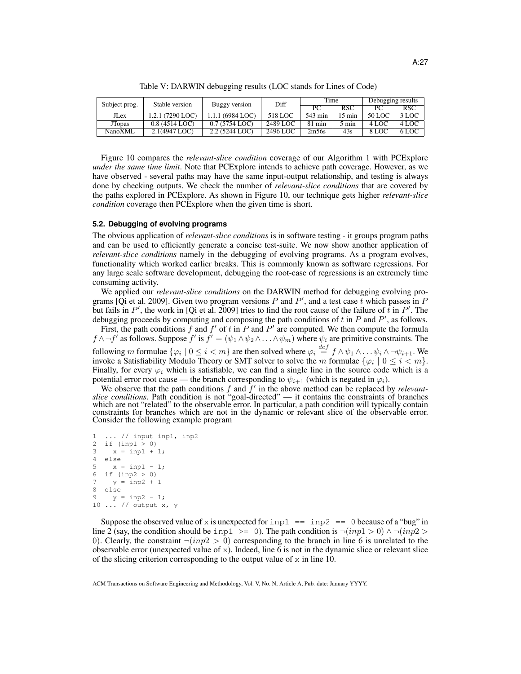| Subject prog. | Stable version                        | Buggy version  | Diff     | Time    |            | Debugging results |            |
|---------------|---------------------------------------|----------------|----------|---------|------------|-------------------|------------|
|               |                                       |                |          | PС      | <b>RSC</b> | PC                | <b>RSC</b> |
| <b>JLex</b>   | $1.2.1(7290$ LOC)<br>$1.1.1(6984$ LOC |                | 518 LOC  | 543 min | .5 min     | 50 LOC            | 3 LOC      |
| <b>JTopas</b> | $0.8(4514$ LOC)                       | $0.7(5754$ LOC | 2489 LOC | 81 min  | 5 min      | 4 LOC             | 4 LOC      |
| NanoXML       | $2.1(4947$ LOC)                       | $2.2(5244$ LOC | 2496 LOC | 2m56s   | 43s        | 8 LOC             | 6 LOC      |

Table V: DARWIN debugging results (LOC stands for Lines of Code)

Figure 10 compares the *relevant-slice condition* coverage of our Algorithm 1 with PCExplore *under the same time limit*. Note that PCExplore intends to achieve path coverage. However, as we have observed - several paths may have the same input-output relationship, and testing is always done by checking outputs. We check the number of *relevant-slice conditions* that are covered by the paths explored in PCExplore. As shown in Figure 10, our technique gets higher *relevant-slice condition* coverage then PCExplore when the given time is short.

# **5.2. Debugging of evolving programs**

The obvious application of *relevant-slice conditions* is in software testing - it groups program paths and can be used to efficiently generate a concise test-suite. We now show another application of *relevant-slice conditions* namely in the debugging of evolving programs. As a program evolves, functionality which worked earlier breaks. This is commonly known as software regressions. For any large scale software development, debugging the root-case of regressions is an extremely time consuming activity.

We applied our *relevant-slice conditions* on the DARWIN method for debugging evolving programs [Qi et al. 2009]. Given two program versions P and P', and a test case t which passes in P but fails in P', the work in [Qi et al. 2009] tries to find the root cause of the failure of  $\hat{t}$  in P'. The debugging proceeds by computing and composing the path conditions of  $t$  in  $P$  and  $P'$ , as follows.

First, the path conditions  $\hat{f}$  and  $f'$  of  $t$  in  $P$  and  $P'$  are computed. We then compute the formula  $f \wedge \neg f'$  as follows. Suppose  $f'$  is  $f' = (\psi_1 \wedge \psi_2 \wedge \dots \wedge \psi_m)$  where  $\psi_i$  are primitive constraints. The following m formulae  $\{\varphi_i \mid 0 \le i < m\}$  are then solved where  $\varphi_i \stackrel{def}{=} f \wedge \psi_1 \wedge \dots \psi_i \wedge \neg \psi_{i+1}$ . We invoke a Satisfiability Modulo Theory or SMT solver to solve the m formulae  $\{\varphi_i \mid 0 \leq i < m\}.$ Finally, for every  $\varphi_i$  which is satisfiable, we can find a single line in the source code which is a potential error root cause — the branch corresponding to  $\psi_{i+1}$  (which is negated in  $\varphi_i$ ).

We observe that the path conditions  $f$  and  $f'$  in the above method can be replaced by *relevantslice conditions*. Path condition is not "goal-directed" — it contains the constraints of branches which are not "related" to the observable error. In particular, a path condition will typically contain constraints for branches which are not in the dynamic or relevant slice of the observable error. Consider the following example program

```
1 ... // input inp1, inp2
2 if (inp1 > 0)
3 x = \text{inp1} + 1;4 else
5 x = \text{inp1} - 1;6 if (inp2 > 0)
7 y = \text{inp2} + 18 else
9 y = \text{inp2} - 1;10 ... // output x, y
```
Suppose the observed value of x is unexpected for inp1 == inp2 == 0 because of a "bug" in line 2 (say, the condition should be inp1 > = 0). The path condition is  $\neg (inp1 > 0) \land \neg (inp2 > 0)$ 0). Clearly, the constraint  $\neg (inp2 > 0)$  corresponding to the branch in line 6 is unrelated to the observable error (unexpected value of x). Indeed, line 6 is not in the dynamic slice or relevant slice of the slicing criterion corresponding to the output value of  $x$  in line 10.

ACM Transactions on Software Engineering and Methodology, Vol. V, No. N, Article A, Pub. date: January YYYY.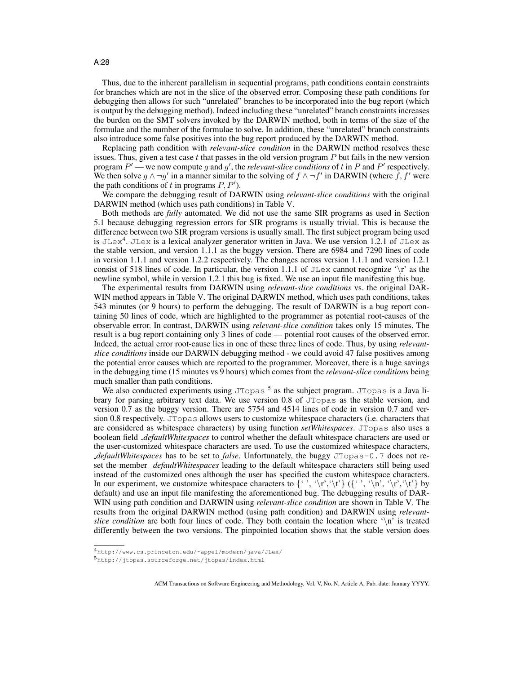Thus, due to the inherent parallelism in sequential programs, path conditions contain constraints for branches which are not in the slice of the observed error. Composing these path conditions for debugging then allows for such "unrelated" branches to be incorporated into the bug report (which is output by the debugging method). Indeed including these "unrelated" branch constraints increases the burden on the SMT solvers invoked by the DARWIN method, both in terms of the size of the formulae and the number of the formulae to solve. In addition, these "unrelated" branch constraints also introduce some false positives into the bug report produced by the DARWIN method.

Replacing path condition with *relevant-slice condition* in the DARWIN method resolves these issues. Thus, given a test case  $t$  that passes in the old version program  $P$  but fails in the new version program  $P'$  — we now compute g and g', the *relevant-slice conditions* of t in P and P' respectively. We then solve  $g \wedge \neg g'$  in a manner similar to the solving of  $f \wedge \neg f'$  in DARWIN (where  $\hat{f}, f'$  were the path conditions of t in programs  $P, P'$ ).

We compare the debugging result of DARWIN using *relevant-slice conditions* with the original DARWIN method (which uses path conditions) in Table V.

Both methods are *fully* automated. We did not use the same SIR programs as used in Section 5.1 because debugging regression errors for SIR programs is usually trivial. This is because the difference between two SIR program versions is usually small. The first subject program being used is JLex<sup>4</sup>. JLex is a lexical analyzer generator written in Java. We use version 1.2.1 of JLex as the stable version, and version 1.1.1 as the buggy version. There are 6984 and 7290 lines of code in version 1.1.1 and version 1.2.2 respectively. The changes across version 1.1.1 and version 1.2.1 consist of 518 lines of code. In particular, the version 1.1.1 of JLex cannot recognize  $\gamma$  as the newline symbol, while in version 1.2.1 this bug is fixed. We use an input file manifesting this bug.

The experimental results from DARWIN using *relevant-slice conditions* vs. the original DAR-WIN method appears in Table V. The original DARWIN method, which uses path conditions, takes 543 minutes (or 9 hours) to perform the debugging. The result of DARWIN is a bug report containing 50 lines of code, which are highlighted to the programmer as potential root-causes of the observable error. In contrast, DARWIN using *relevant-slice condition* takes only 15 minutes. The result is a bug report containing only 3 lines of code — potential root causes of the observed error. Indeed, the actual error root-cause lies in one of these three lines of code. Thus, by using *relevantslice conditions* inside our DARWIN debugging method - we could avoid 47 false positives among the potential error causes which are reported to the programmer. Moreover, there is a huge savings in the debugging time (15 minutes vs 9 hours) which comes from the *relevant-slice conditions* being much smaller than path conditions.

We also conducted experiments using  $JTopas$ <sup>5</sup> as the subject program.  $JTopas$  is a Java library for parsing arbitrary text data. We use version 0.8 of JTopas as the stable version, and version 0.7 as the buggy version. There are 5754 and 4514 lines of code in version 0.7 and version 0.8 respectively. JTopas allows users to customize whitespace characters (i.e. characters that are considered as whitespace characters) by using function *setWhitespaces*. JTopas also uses a boolean field *defaultWhitespaces* to control whether the default whitespace characters are used or the user-customized whitespace characters are used. To use the customized whitespace characters, *defaultWhitespaces* has to be set to *false*. Unfortunately, the buggy JTopas-0.7 does not reset the member *defaultWhitespaces* leading to the default whitespace characters still being used instead of the customized ones although the user has specified the custom whitespace characters. In our experiment, we customize whitespace characters to  $\{ \cdot, \cdot, \cdot, \cdot, \cdot \}$   $\{ \cdot, \cdot, \cdot, \cdot, \cdot, \cdot \}$  by default) and use an input file manifesting the aforementioned bug. The debugging results of DAR-WIN using path condition and DARWIN using *relevant-slice condition* are shown in Table V. The results from the original DARWIN method (using path condition) and DARWIN using *relevantslice condition* are both four lines of code. They both contain the location where  $\ln$  is treated differently between the two versions. The pinpointed location shows that the stable version does

<sup>4</sup>http://www.cs.princeton.edu/˜appel/modern/java/JLex/

<sup>5</sup>http://jtopas.sourceforge.net/jtopas/index.html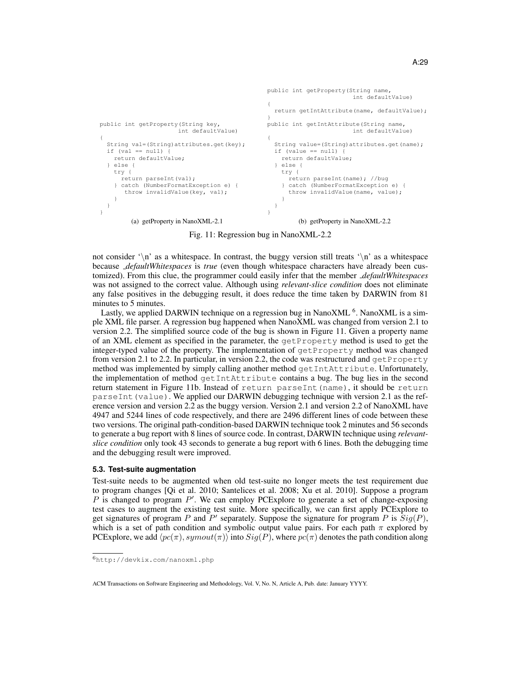```
public int getProperty(String key,
                      int defaultValue)
{
  String val=(String)attributes.get(key);
  if (va1 == null) {
    return defaultValue;
  } else {
   try {
      return parseInt(val);
    } catch (NumberFormatException e) {
       throw invalidValue(key, val);
    }
  }
}
         (a) getProperty in NanoXML-2.1
                                                 public int getProperty(String name,
                                                                        int defaultValue)
                                                 {
                                                   return getIntAttribute(name, defaultValue);
                                                 }
                                                 public int getIntAttribute(String name,
                                                                         int defaultValue)
                                                 {
                                                   String value=(String)attributes.get(name);
                                                   if (value == null) {
                                                     return defaultValue;
                                                   } else {
                                                    try {
                                                       return parseInt(name); //bug
                                                     } catch (NumberFormatException e) {
                                                       throw invalidValue(name, value);
                                                     }
                                                   }
                                                 }
                                                          (b) getProperty in NanoXML-2.2
```
Fig. 11: Regression bug in NanoXML-2.2

not consider ' $\n\in$  'as a whitespace. In contrast, the buggy version still treats ' $\n\in$  's a whitespace because *defaultWhitespaces* is *true* (even though whitespace characters have already been customized). From this clue, the programmer could easily infer that the member *defaultWhitespaces* was not assigned to the correct value. Although using *relevant-slice condition* does not eliminate any false positives in the debugging result, it does reduce the time taken by DARWIN from 81 minutes to 5 minutes.

Lastly, we applied DARWIN technique on a regression bug in NanoXML<sup>6</sup>. NanoXML is a simple XML file parser. A regression bug happened when NanoXML was changed from version 2.1 to version 2.2. The simplified source code of the bug is shown in Figure 11. Given a property name of an XML element as specified in the parameter, the getProperty method is used to get the integer-typed value of the property. The implementation of getProperty method was changed from version 2.1 to 2.2. In particular, in version 2.2, the code was restructured and  $q$ etProperty method was implemented by simply calling another method get IntAttribute. Unfortunately, the implementation of method getIntAttribute contains a bug. The bug lies in the second return statement in Figure 11b. Instead of return parseInt(name), it should be return parseInt (value). We applied our DARWIN debugging technique with version 2.1 as the reference version and version 2.2 as the buggy version. Version 2.1 and version 2.2 of NanoXML have 4947 and 5244 lines of code respectively, and there are 2496 different lines of code between these two versions. The original path-condition-based DARWIN technique took 2 minutes and 56 seconds to generate a bug report with 8 lines of source code. In contrast, DARWIN technique using *relevantslice condition* only took 43 seconds to generate a bug report with 6 lines. Both the debugging time and the debugging result were improved.

## **5.3. Test-suite augmentation**

Test-suite needs to be augmented when old test-suite no longer meets the test requirement due to program changes [Qi et al. 2010; Santelices et al. 2008; Xu et al. 2010]. Suppose a program  $P$  is changed to program  $P'$ . We can employ PCExplore to generate a set of change-exposing test cases to augment the existing test suite. More specifically, we can first apply PCExplore to get signatures of program P and P' separately. Suppose the signature for program P is  $\tilde{Sig}(P)$ , which is a set of path condition and symbolic output value pairs. For each path  $\pi$  explored by PCExplore, we add  $\langle pc(\pi), symout(\pi) \rangle$  into  $Sig(P)$ , where  $pc(\pi)$  denotes the path condition along

<sup>6</sup>http://devkix.com/nanoxml.php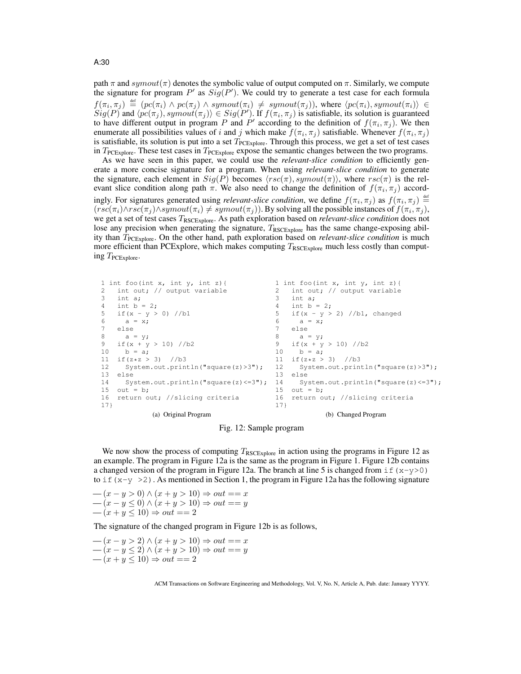path  $\pi$  and symout( $\pi$ ) denotes the symbolic value of output computed on  $\pi$ . Similarly, we compute the signature for program  $P'$  as  $Sig(P')$ . We could try to generate a test case for each formula  $f(\pi_i, \pi_j) \stackrel{\text{def}}{=} (pc(\pi_i) \land pc(\pi_j) \land symbol(\pi_i) \neq symbol(\pi_j)),$  where  $\langle pc(\pi_i), symbol(\pi_i) \rangle \in$  $Sig(P)$  and  $\langle pc(\pi_j), symouth(\pi_j) \rangle \in Sig(P')$ . If  $f(\pi_i, \pi_j)$  is satisfiable, its solution is guaranteed to have different output in program P and P' according to the definition of  $f(\pi_i, \pi_j)$ . We then enumerate all possibilities values of i and j which make  $f(\pi_i, \pi_j)$  satisfiable. Whenever  $f(\pi_i, \pi_j)$ is satisfiable, its solution is put into a set  $T_{\text{PCExplore}}$ . Through this process, we get a set of test cases in  $T_{\text{PCExphere}}$ . These test cases in  $T_{\text{PCExphere}}$  expose the semantic changes between the two programs.

As we have seen in this paper, we could use the *relevant-slice condition* to efficiently generate a more concise signature for a program. When using *relevant-slice condition* to generate the signature, each element in  $Sig(P)$  becomes  $\langle rsc(\pi), symout(\pi) \rangle$ , where  $rsc(\pi)$  is the relevant slice condition along path  $\pi$ . We also need to change the definition of  $f(\pi_i, \pi_j)$  accordingly. For signatures generated using *relevant-slice condition*, we define  $f(\pi_i, \pi_j)$  as  $f(\pi_i, \pi_j) \stackrel{\text{def}}{=}$  $(res(\pi_i) \wedge rsc(\pi_j) \wedge symout(\pi_i) \neq symout(\pi_j))$ . By solving all the possible instances of  $f(\pi_i, \pi_j)$ , we get a set of test cases TRSCExplore. As path exploration based on *relevant-slice condition* does not lose any precision when generating the signature,  $T_{\text{RSCExplore}}$  has the same change-exposing ability than TPCExplore. On the other hand, path exploration based on *relevant-slice condition* is much more efficient than PCExplore, which makes computing  $T_{\text{RSCExplore}}$  much less costly than computing  $T_{\text{PCExplore}}$ .

```
1 int foo(int x, int y, int z){
2 int out; // output variable
3 int a;
4 int b = 2;5 if (x - y > 0) //b1
6 a = x;7 else
8 a = y;9 if(x + y > 10) //b2
10 b = a;11 if(z \times z > 3) //b3<br>12 System.out.print
     System.out.println("square(z)>3");
13 else
14 System.out.println("square(z) <= 3");
15 out = b;
16 return out; //slicing criteria
17}
             (a) Original Program
                                            1 int foo(int x, int y, int z){
                                            2 int out; // output variable
                                            3 int a;
                                            4 int b = 2;
                                            \frac{4}{5} if (x - y > 2) //b1, changed
                                            6 a = x;7 else
                                            8 a = y;9 if(x + y > 10) //b2
                                            10 b = a;11 if(z \times z > 3) //b3<br>12 System.out.print
                                                 System.out.println("square(z)>3");
                                            13 else
                                           14 System.out.println("square(z) <= 3");
                                            15 out = b:
                                            16 return out; //slicing criteria
                                            17}
                                                         (b) Changed Program
```
Fig. 12: Sample program

We now show the process of computing  $T_{\text{RSCExplore}}$  in action using the programs in Figure 12 as an example. The program in Figure 12a is the same as the program in Figure 1. Figure 12b contains a changed version of the program in Figure 12a. The branch at line 5 is changed from if  $(x-y>0)$ to if  $(x-y > 2)$ . As mentioned in Section 1, the program in Figure 12a has the following signature

 $-(x-y>0) \wedge (x+y>10) \Rightarrow out == x$  $-(x-y\leq 0) \wedge (x+y>10) \Rightarrow out == y$  $-(x+y \le 10) \Rightarrow out == 2$ 

The signature of the changed program in Figure 12b is as follows,

 $-(x-y>2) \wedge (x+y>10) \Rightarrow out == x$  $-(x-y \leq 2) \wedge (x+y > 10) \Rightarrow out == y$  $-(x+y<10) \Rightarrow out == 2$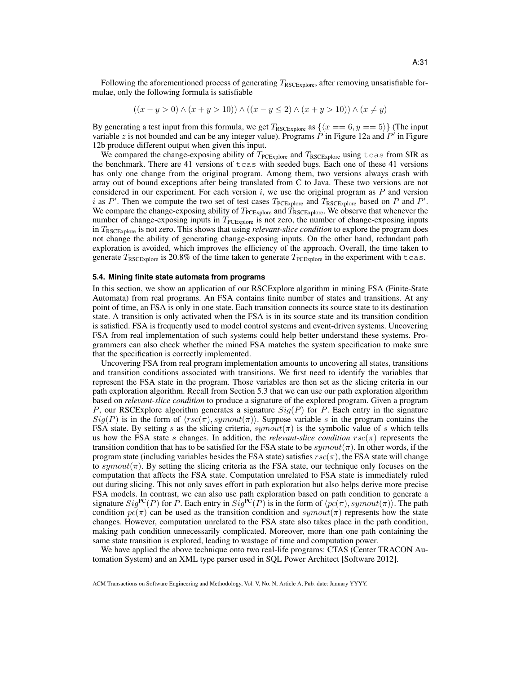Following the aforementioned process of generating  $T_{\text{RSCExplore}}$ , after removing unsatisfiable formulae, only the following formula is satisfiable

$$
((x - y > 0) \land (x + y > 10)) \land ((x - y \le 2) \land (x + y > 10)) \land (x \ne y)
$$

By generating a test input from this formula, we get  $T_{\text{RSCExplore}}$  as  $\{\langle x == 6, y == 5 \rangle\}$  (The input variable z is not bounded and can be any integer value). Programs  $\tilde{P}$  in Figure 12a and  $P'$  in Figure 12b produce different output when given this input.

We compared the change-exposing ability of  $T_{\text{PCExplore}}$  and  $T_{\text{RSCExplore}}$  using tcas from SIR as the benchmark. There are 41 versions of tcas with seeded bugs. Each one of these 41 versions has only one change from the original program. Among them, two versions always crash with array out of bound exceptions after being translated from C to Java. These two versions are not considered in our experiment. For each version  $i$ , we use the original program as  $P$  and version i as P'. Then we compute the two set of test cases  $T_{\text{PCExplore}}$  and  $T_{\text{RSCExplore}}$  based on P and P'. We compare the change-exposing ability of  $T_{\text{PCExplore}}$  and  $T_{\text{RSCExplore}}$ . We observe that whenever the number of change-exposing inputs in  $T_{\text{PCExplore}}$  is not zero, the number of change-exposing inputs in T<sub>RSCExplore</sub> is not zero. This shows that using *relevant-slice condition* to explore the program does not change the ability of generating change-exposing inputs. On the other hand, redundant path exploration is avoided, which improves the efficiency of the approach. Overall, the time taken to generate  $T_{\text{RSCExplore}}$  is 20.8% of the time taken to generate  $T_{\text{PCExplore}}$  in the experiment with tcas.

# **5.4. Mining finite state automata from programs**

In this section, we show an application of our RSCExplore algorithm in mining FSA (Finite-State Automata) from real programs. An FSA contains finite number of states and transitions. At any point of time, an FSA is only in one state. Each transition connects its source state to its destination state. A transition is only activated when the FSA is in its source state and its transition condition is satisfied. FSA is frequently used to model control systems and event-driven systems. Uncovering FSA from real implementation of such systems could help better understand these systems. Programmers can also check whether the mined FSA matches the system specification to make sure that the specification is correctly implemented.

Uncovering FSA from real program implementation amounts to uncovering all states, transitions and transition conditions associated with transitions. We first need to identify the variables that represent the FSA state in the program. Those variables are then set as the slicing criteria in our path exploration algorithm. Recall from Section 5.3 that we can use our path exploration algorithm based on *relevant-slice condition* to produce a signature of the explored program. Given a program P, our RSCExplore algorithm generates a signature  $Sig(P)$  for P. Each entry in the signature  $Sig(P)$  is in the form of  $\langle rsc(\pi), symout(\pi) \rangle$ . Suppose variable s in the program contains the FSA state. By setting s as the slicing criteria,  $symout(\pi)$  is the symbolic value of s which tells us how the FSA state s changes. In addition, the *relevant-slice condition*  $rsc(\pi)$  represents the transition condition that has to be satisfied for the FSA state to be  $symout(\pi)$ . In other words, if the program state (including variables besides the FSA state) satisfies  $rsc(\pi)$ , the FSA state will change to symout( $\pi$ ). By setting the slicing criteria as the FSA state, our technique only focuses on the computation that affects the FSA state. Computation unrelated to FSA state is immediately ruled out during slicing. This not only saves effort in path exploration but also helps derive more precise FSA models. In contrast, we can also use path exploration based on path condition to generate a signature  $Sig^{PC}(P)$  for P. Each entry in  $Sig^{PC}(P)$  is in the form of  $\langle pc(\pi), symout(\pi) \rangle$ . The path condition  $pc(\pi)$  can be used as the transition condition and symout( $\pi$ ) represents how the state changes. However, computation unrelated to the FSA state also takes place in the path condition, making path condition unnecessarily complicated. Moreover, more than one path containing the same state transition is explored, leading to wastage of time and computation power.

We have applied the above technique onto two real-life programs: CTAS (Center TRACON Automation System) and an XML type parser used in SQL Power Architect [Software 2012].

ACM Transactions on Software Engineering and Methodology, Vol. V, No. N, Article A, Pub. date: January YYYY.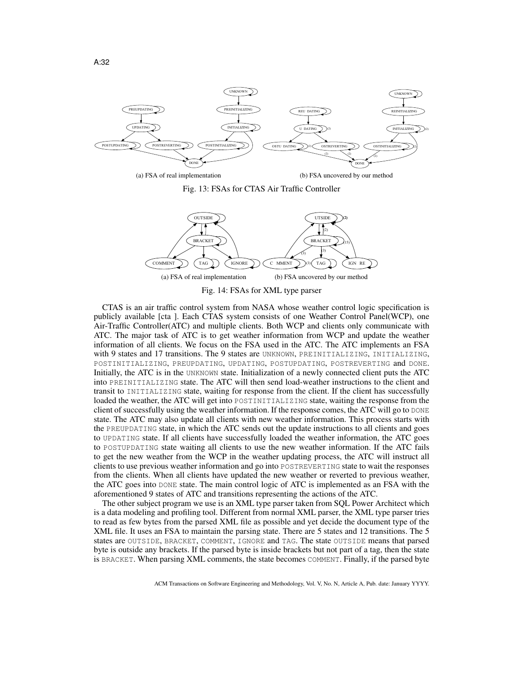

Fig. 13: FSAs for CTAS Air Traffic Controller



Fig. 14: FSAs for XML type parser

CTAS is an air traffic control system from NASA whose weather control logic specification is publicly available [cta ]. Each CTAS system consists of one Weather Control Panel(WCP), one Air-Traffic Controller(ATC) and multiple clients. Both WCP and clients only communicate with ATC. The major task of ATC is to get weather information from WCP and update the weather information of all clients. We focus on the FSA used in the ATC. The ATC implements an FSA with 9 states and 17 transitions. The 9 states are UNKNOWN, PREINITIALIZING, INITIALIZING, POSTINITIALIZING, PREUPDATING, UPDATING, POSTUPDATING, POSTREVERTING and DONE. Initially, the ATC is in the UNKNOWN state. Initialization of a newly connected client puts the ATC into PREINITIALIZING state. The ATC will then send load-weather instructions to the client and transit to INITIALIZING state, waiting for response from the client. If the client has successfully loaded the weather, the ATC will get into POSTINITIALIZING state, waiting the response from the client of successfully using the weather information. If the response comes, the ATC will go to DONE state. The ATC may also update all clients with new weather information. This process starts with the PREUPDATING state, in which the ATC sends out the update instructions to all clients and goes to UPDATING state. If all clients have successfully loaded the weather information, the ATC goes to POSTUPDATING state waiting all clients to use the new weather information. If the ATC fails to get the new weather from the WCP in the weather updating process, the ATC will instruct all clients to use previous weather information and go into POSTREVERTING state to wait the responses from the clients. When all clients have updated the new weather or reverted to previous weather, the ATC goes into DONE state. The main control logic of ATC is implemented as an FSA with the aforementioned 9 states of ATC and transitions representing the actions of the ATC.

The other subject program we use is an XML type parser taken from SQL Power Architect which is a data modeling and profiling tool. Different from normal XML parser, the XML type parser tries to read as few bytes from the parsed XML file as possible and yet decide the document type of the XML file. It uses an FSA to maintain the parsing state. There are 5 states and 12 transitions. The 5 states are OUTSIDE, BRACKET, COMMENT, IGNORE and TAG. The state OUTSIDE means that parsed byte is outside any brackets. If the parsed byte is inside brackets but not part of a tag, then the state is BRACKET. When parsing XML comments, the state becomes COMMENT. Finally, if the parsed byte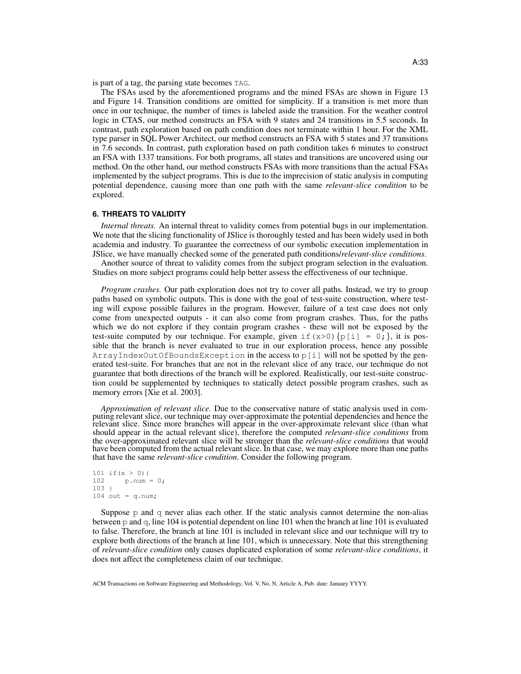is part of a tag, the parsing state becomes TAG.

The FSAs used by the aforementioned programs and the mined FSAs are shown in Figure 13 and Figure 14. Transition conditions are omitted for simplicity. If a transition is met more than once in our technique, the number of times is labeled aside the transition. For the weather control logic in CTAS, our method constructs an FSA with 9 states and 24 transitions in 5.5 seconds. In contrast, path exploration based on path condition does not terminate within 1 hour. For the XML type parser in SQL Power Architect, our method constructs an FSA with 5 states and 37 transitions in 7.6 seconds. In contrast, path exploration based on path condition takes 6 minutes to construct an FSA with 1337 transitions. For both programs, all states and transitions are uncovered using our method. On the other hand, our method constructs FSAs with more transitions than the actual FSAs implemented by the subject programs. This is due to the imprecision of static analysis in computing potential dependence, causing more than one path with the same *relevant-slice condition* to be explored.

# **6. THREATS TO VALIDITY**

*Internal threats.* An internal threat to validity comes from potential bugs in our implementation. We note that the slicing functionality of JSlice is thoroughly tested and has been widely used in both academia and industry. To guarantee the correctness of our symbolic execution implementation in JSlice, we have manually checked some of the generated path conditions/*relevant-slice conditions*.

Another source of threat to validity comes from the subject program selection in the evaluation. Studies on more subject programs could help better assess the effectiveness of our technique.

*Program crashes.* Our path exploration does not try to cover all paths. Instead, we try to group paths based on symbolic outputs. This is done with the goal of test-suite construction, where testing will expose possible failures in the program. However, failure of a test case does not only come from unexpected outputs - it can also come from program crashes. Thus, for the paths which we do not explore if they contain program crashes - these will not be exposed by the test-suite computed by our technique. For example, given if  $(x>0)$  {p[i] = 0; }, it is possible that the branch is never evaluated to true in our exploration process, hence any possible ArrayIndexOutOfBoundsException in the access to p[i] will not be spotted by the generated test-suite. For branches that are not in the relevant slice of any trace, our technique do not guarantee that both directions of the branch will be explored. Realistically, our test-suite construction could be supplemented by techniques to statically detect possible program crashes, such as memory errors [Xie et al. 2003].

*Approximation of relevant slice.* Due to the conservative nature of static analysis used in computing relevant slice, our technique may over-approximate the potential dependencies and hence the relevant slice. Since more branches will appear in the over-approximate relevant slice (than what should appear in the actual relevant slice), therefore the computed *relevant-slice conditions* from the over-approximated relevant slice will be stronger than the *relevant-slice conditions* that would have been computed from the actual relevant slice. In that case, we may explore more than one paths that have the same *relevant-slice condition*. Consider the following program.

```
101 if(x > 0){
102 p.num = 0;
103 }
104 out = q.num;
```
Suppose  $p$  and  $q$  never alias each other. If the static analysis cannot determine the non-alias between p and q, line 104 is potential dependent on line 101 when the branch at line 101 is evaluated to false. Therefore, the branch at line 101 is included in relevant slice and our technique will try to explore both directions of the branch at line 101, which is unnecessary. Note that this strengthening of *relevant-slice condition* only causes duplicated exploration of some *relevant-slice conditions*, it does not affect the completeness claim of our technique.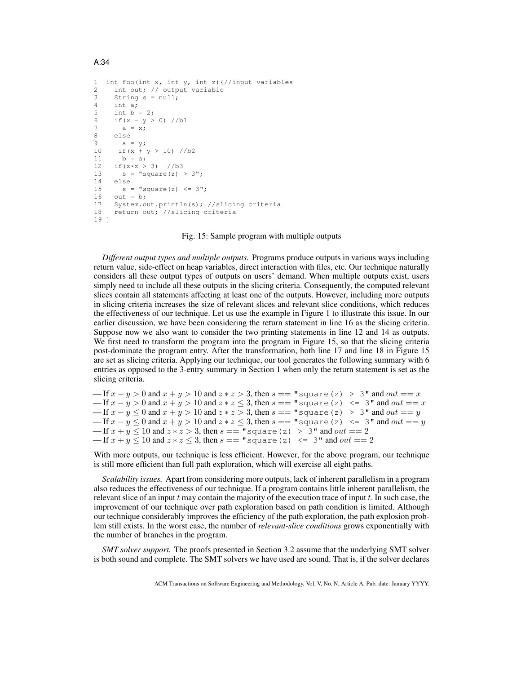```
1 int foo(int x, int y, int z){//input variables
2 int out; // output variable
3 String s = null;4 int a;
5 int b = 2;
6 if(x - y > 0) //b1
7 a = x;<br>8 else
     8 else
9 a = y;10 if(x + y > 10) //b2
11 b = a;12 if(z + z > 3) //b3<br>13 s = "square(z)
      s = "square(z) > 3";14 else
15 s = "square(z) \leq 3";16 out = b;
17 System.out.println(s); //slicing criteria<br>18 return out; //slicing criteria
    return out; //slicing criteria
19 }
```
Fig. 15: Sample program with multiple outputs

*Different output types and multiple outputs.* Programs produce outputs in various ways including return value, side-effect on heap variables, direct interaction with files, etc. Our technique naturally considers all these output types of outputs on users' demand. When multiple outputs exist, users simply need to include all these outputs in the slicing criteria. Consequently, the computed relevant slices contain all statements affecting at least one of the outputs. However, including more outputs in slicing criteria increases the size of relevant slices and relevant slice conditions, which reduces the effectiveness of our technique. Let us use the example in Figure 1 to illustrate this issue. In our earlier discussion, we have been considering the return statement in line 16 as the slicing criteria. Suppose now we also want to consider the two printing statements in line 12 and 14 as outputs. We first need to transform the program into the program in Figure 15, so that the slicing criteria post-dominate the program entry. After the transformation, both line 17 and line 18 in Figure 15 are set as slicing criteria. Applying our technique, our tool generates the following summary with 6 entries as opposed to the 3-entry summary in Section 1 when only the return statement is set as the slicing criteria.

```
— If x - y > 0 and x + y > 10 and z * z > 3, then s == "square (z) > 3" and out  == x— If x - y > 0 and x + y > 10 and z * z \le 3, then s == "square (z) \le 3" and out  == x— If x - y \le 0 and x + y > 10 and z * z > 3, then s == "square (z) > 3" and out  == y— If x - y \le 0 and x + y > 10 and z * z \le 3, then s == "square (z) \le 3" and out == y— If x + y \le 10 and z * z > 3, then s == "square (z) > 3" and out = = 2
- If x + y \le 10 and z * z \le 3, then s == "square (z) \le 3" and out == 2
```
With more outputs, our technique is less efficient. However, for the above program, our technique is still more efficient than full path exploration, which will exercise all eight paths.

*Scalability issues.* Apart from considering more outputs, lack of inherent parallelism in a program also reduces the effectiveness of our technique. If a program contains little inherent parallelism, the relevant slice of an input  $t$  may contain the majority of the execution trace of input  $t$ . In such case, the improvement of our technique over path exploration based on path condition is limited. Although our technique considerably improves the efficiency of the path exploration, the path explosion problem still exists. In the worst case, the number of *relevant-slice conditions* grows exponentially with the number of branches in the program.

*SMT solver support.* The proofs presented in Section 3.2 assume that the underlying SMT solver is both sound and complete. The SMT solvers we have used are sound. That is, if the solver declares

```
A:34
```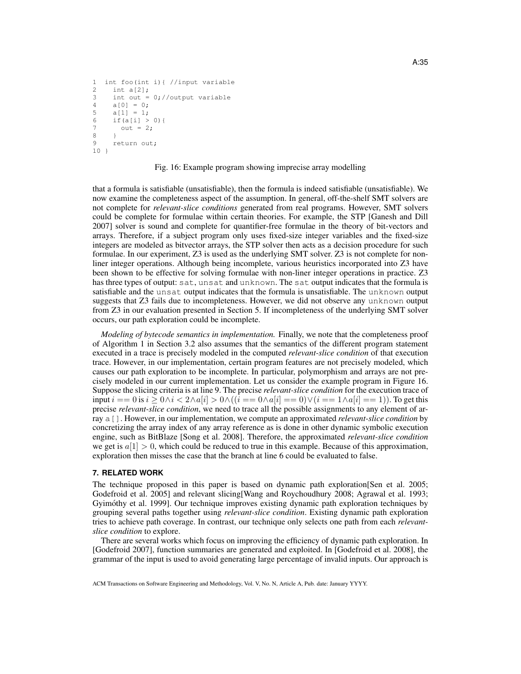```
1 int foo(int i){ //input variable
2 int a[2];<br>3 int out =
     int out = 0;//output variable
4 a[0] = 0;
5 a[1] = 1;6 if(a[i] > 0){
7 out = 2;8 }
9 return out;
10 }
```
# Fig. 16: Example program showing imprecise array modelling

that a formula is satisfiable (unsatisfiable), then the formula is indeed satisfiable (unsatisfiable). We now examine the completeness aspect of the assumption. In general, off-the-shelf SMT solvers are not complete for *relevant-slice conditions* generated from real programs. However, SMT solvers could be complete for formulae within certain theories. For example, the STP [Ganesh and Dill 2007] solver is sound and complete for quantifier-free formulae in the theory of bit-vectors and arrays. Therefore, if a subject program only uses fixed-size integer variables and the fixed-size integers are modeled as bitvector arrays, the STP solver then acts as a decision procedure for such formulae. In our experiment, Z3 is used as the underlying SMT solver. Z3 is not complete for nonliner integer operations. Although being incomplete, various heuristics incorporated into Z3 have been shown to be effective for solving formulae with non-liner integer operations in practice. Z3 has three types of output: sat, unsat and unknown. The sat output indicates that the formula is satisfiable and the unsat output indicates that the formula is unsatisfiable. The unknown output suggests that Z3 fails due to incompleteness. However, we did not observe any unknown output from Z3 in our evaluation presented in Section 5. If incompleteness of the underlying SMT solver occurs, our path exploration could be incomplete.

*Modeling of bytecode semantics in implementation.* Finally, we note that the completeness proof of Algorithm 1 in Section 3.2 also assumes that the semantics of the different program statement executed in a trace is precisely modeled in the computed *relevant-slice condition* of that execution trace. However, in our implementation, certain program features are not precisely modeled, which causes our path exploration to be incomplete. In particular, polymorphism and arrays are not precisely modeled in our current implementation. Let us consider the example program in Figure 16. Suppose the slicing criteria is at line 9. The precise *relevant-slice condition* for the execution trace of input  $i == 0$  is  $i ≥ 0 ∧ i < 2 ∧ a[i] > 0 ∧ ((i == 0 ∧ a[i] == 0) ∨ (i == 1 ∧ a[i] == 1))$ . To get this precise *relevant-slice condition*, we need to trace all the possible assignments to any element of array a[]. However, in our implementation, we compute an approximated *relevant-slice condition* by concretizing the array index of any array reference as is done in other dynamic symbolic execution engine, such as BitBlaze [Song et al. 2008]. Therefore, the approximated *relevant-slice condition* we get is  $a[1] > 0$ , which could be reduced to true in this example. Because of this approximation, exploration then misses the case that the branch at line 6 could be evaluated to false.

# **7. RELATED WORK**

The technique proposed in this paper is based on dynamic path exploration[Sen et al. 2005; Godefroid et al. 2005] and relevant slicing[Wang and Roychoudhury 2008; Agrawal et al. 1993; Gyimothy et al. 1999]. Our technique improves existing dynamic path exploration techniques by ´ grouping several paths together using *relevant-slice condition*. Existing dynamic path exploration tries to achieve path coverage. In contrast, our technique only selects one path from each *relevantslice condition* to explore.

There are several works which focus on improving the efficiency of dynamic path exploration. In [Godefroid 2007], function summaries are generated and exploited. In [Godefroid et al. 2008], the grammar of the input is used to avoid generating large percentage of invalid inputs. Our approach is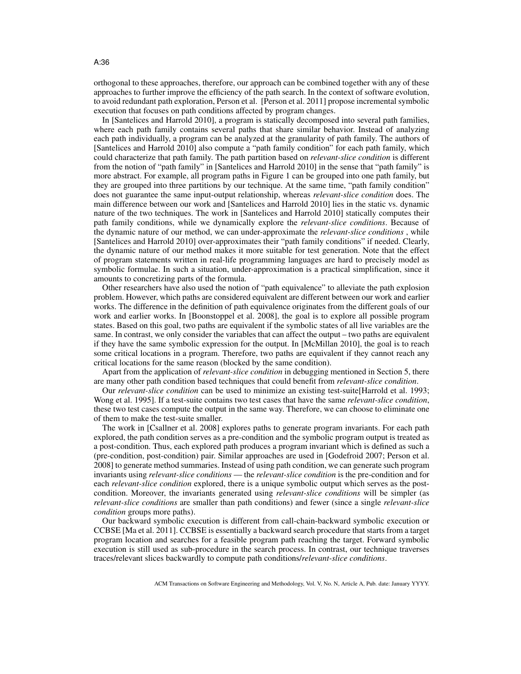orthogonal to these approaches, therefore, our approach can be combined together with any of these approaches to further improve the efficiency of the path search. In the context of software evolution, to avoid redundant path exploration, Person et al. [Person et al. 2011] propose incremental symbolic execution that focuses on path conditions affected by program changes.

In [Santelices and Harrold 2010], a program is statically decomposed into several path families, where each path family contains several paths that share similar behavior. Instead of analyzing each path individually, a program can be analyzed at the granularity of path family. The authors of [Santelices and Harrold 2010] also compute a "path family condition" for each path family, which could characterize that path family. The path partition based on *relevant-slice condition* is different from the notion of "path family" in [Santelices and Harrold 2010] in the sense that "path family" is more abstract. For example, all program paths in Figure 1 can be grouped into one path family, but they are grouped into three partitions by our technique. At the same time, "path family condition" does not guarantee the same input-output relationship, whereas *relevant-slice condition* does. The main difference between our work and [Santelices and Harrold 2010] lies in the static vs. dynamic nature of the two techniques. The work in [Santelices and Harrold 2010] statically computes their path family conditions, while we dynamically explore the *relevant-slice conditions*. Because of the dynamic nature of our method, we can under-approximate the *relevant-slice conditions* , while [Santelices and Harrold 2010] over-approximates their "path family conditions" if needed. Clearly, the dynamic nature of our method makes it more suitable for test generation. Note that the effect of program statements written in real-life programming languages are hard to precisely model as symbolic formulae. In such a situation, under-approximation is a practical simplification, since it amounts to concretizing parts of the formula.

Other researchers have also used the notion of "path equivalence" to alleviate the path explosion problem. However, which paths are considered equivalent are different between our work and earlier works. The difference in the definition of path equivalence originates from the different goals of our work and earlier works. In [Boonstoppel et al. 2008], the goal is to explore all possible program states. Based on this goal, two paths are equivalent if the symbolic states of all live variables are the same. In contrast, we only consider the variables that can affect the output – two paths are equivalent if they have the same symbolic expression for the output. In [McMillan 2010], the goal is to reach some critical locations in a program. Therefore, two paths are equivalent if they cannot reach any critical locations for the same reason (blocked by the same condition).

Apart from the application of *relevant-slice condition* in debugging mentioned in Section 5, there are many other path condition based techniques that could benefit from *relevant-slice condition*.

Our *relevant-slice condition* can be used to minimize an existing test-suite[Harrold et al. 1993; Wong et al. 1995]. If a test-suite contains two test cases that have the same *relevant-slice condition*, these two test cases compute the output in the same way. Therefore, we can choose to eliminate one of them to make the test-suite smaller.

The work in [Csallner et al. 2008] explores paths to generate program invariants. For each path explored, the path condition serves as a pre-condition and the symbolic program output is treated as a post-condition. Thus, each explored path produces a program invariant which is defined as such a (pre-condition, post-condition) pair. Similar approaches are used in [Godefroid 2007; Person et al. 2008] to generate method summaries. Instead of using path condition, we can generate such program invariants using *relevant-slice conditions* — the *relevant-slice condition* is the pre-condition and for each *relevant-slice condition* explored, there is a unique symbolic output which serves as the postcondition. Moreover, the invariants generated using *relevant-slice conditions* will be simpler (as *relevant-slice conditions* are smaller than path conditions) and fewer (since a single *relevant-slice condition* groups more paths).

Our backward symbolic execution is different from call-chain-backward symbolic execution or CCBSE [Ma et al. 2011]. CCBSE is essentially a backward search procedure that starts from a target program location and searches for a feasible program path reaching the target. Forward symbolic execution is still used as sub-procedure in the search process. In contrast, our technique traverses traces/relevant slices backwardly to compute path conditions/*relevant-slice conditions*.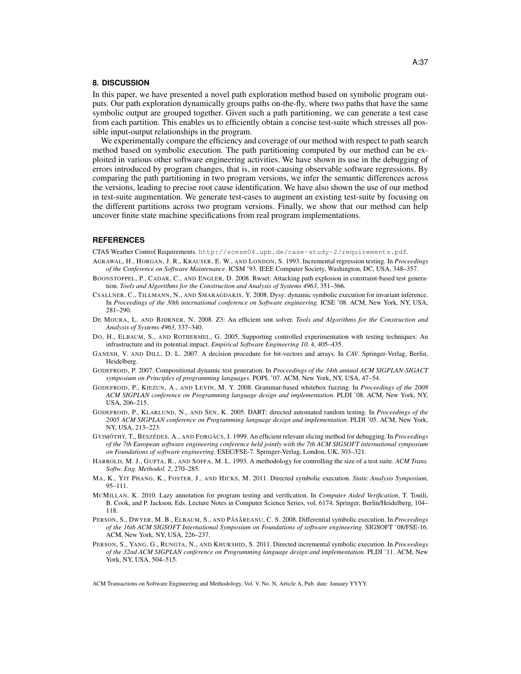#### **8. DISCUSSION**

In this paper, we have presented a novel path exploration method based on symbolic program outputs. Our path exploration dynamically groups paths on-the-fly, where two paths that have the same symbolic output are grouped together. Given such a path partitioning, we can generate a test case from each partition. This enables us to efficiently obtain a concise test-suite which stresses all possible input-output relationships in the program.

We experimentally compare the efficiency and coverage of our method with respect to path search method based on symbolic execution. The path partitioning computed by our method can be exploited in various other software engineering activities. We have shown its use in the debugging of errors introduced by program changes, that is, in root-causing observable software regressions. By comparing the path partitioning in two program versions, we infer the semantic differences across the versions, leading to precise root cause identification. We have also shown the use of our method in test-suite augmentation. We generate test-cases to augment an existing test-suite by focusing on the different partitions across two program versions. Finally, we show that our method can help uncover finite state machine specifications from real program implementations.

#### **REFERENCES**

CTAS Weather Control Requirements. http://scesm04.upb.de/case-study-2/requirements.pdf.

- AGRAWAL, H., HORGAN, J. R., KRAUSER, E. W., AND LONDON, S. 1993. Incremental regression testing. In *Proceedings of the Conference on Software Maintenance*. ICSM '93. IEEE Computer Society, Washington, DC, USA, 348–357.
- BOONSTOPPEL, P., CADAR, C., AND ENGLER, D. 2008. Rwset: Attacking path explosion in constraint-based test generation. *Tools and Algorithms for the Construction and Analysis of Systems 4963*, 351–366.
- CSALLNER, C., TILLMANN, N., AND SMARAGDAKIS, Y. 2008. Dysy: dynamic symbolic execution for invariant inference. In *Proceedings of the 30th international conference on Software engineering*. ICSE '08. ACM, New York, NY, USA, 281–290.
- DE MOURA, L. AND BJØRNER, N. 2008. Z3: An efficient smt solver. *Tools and Algorithms for the Construction and Analysis of Systems 4963*, 337–340.
- DO, H., ELBAUM, S., AND ROTHERMEL, G. 2005. Supporting controlled experimentation with testing techniques: An infrastructure and its potential impact. *Empirical Software Engineering 10,* 4, 405–435.
- GANESH, V. AND DILL, D. L. 2007. A decision procedure for bit-vectors and arrays. In *CAV*. Springer-Verlag, Berlin, Heidelberg.
- GODEFROID, P. 2007. Compositional dynamic test generation. In *Proceedings of the 34th annual ACM SIGPLAN-SIGACT symposium on Principles of programming languages*. POPL '07. ACM, New York, NY, USA, 47–54.
- GODEFROID, P., KIEZUN, A., AND LEVIN, M. Y. 2008. Grammar-based whitebox fuzzing. In *Proceedings of the 2008 ACM SIGPLAN conference on Programming language design and implementation*. PLDI '08. ACM, New York, NY, USA, 206–215.
- GODEFROID, P., KLARLUND, N., AND SEN, K. 2005. DART: directed automated random testing. In *Proceedings of the 2005 ACM SIGPLAN conference on Programming language design and implementation*. PLDI '05. ACM, New York, NY, USA, 213–223.
- GYIMÓTHY, T., BESZÉDES, A., AND FORGÁCS, I. 1999. An efficient relevant slicing method for debugging. In *Proceedings of the 7th European software engineering conference held jointly with the 7th ACM SIGSOFT international symposium on Foundations of software engineering*. ESEC/FSE-7. Springer-Verlag, London, UK, 303–321.
- HARROLD, M. J., GUPTA, R., AND SOFFA, M. L. 1993. A methodology for controlling the size of a test suite. *ACM Trans. Softw. Eng. Methodol. 2*, 270–285.
- MA, K., YIT PHANG, K., FOSTER, J., AND HICKS, M. 2011. Directed symbolic execution. *Static Analysis Symposium*, 95–111.
- MCMILLAN, K. 2010. Lazy annotation for program testing and verification. In *Computer Aided Verification*, T. Touili, B. Cook, and P. Jackson, Eds. Lecture Notes in Computer Science Series, vol. 6174. Springer, Berlin/Heidelberg, 104– 118.
- PERSON, S., DWYER, M. B., ELBAUM, S., AND PĂSĂREANU, C. S. 2008. Differential symbolic execution. In *Proceedings of the 16th ACM SIGSOFT International Symposium on Foundations of software engineering*. SIGSOFT '08/FSE-16. ACM, New York, NY, USA, 226–237.
- PERSON, S., YANG, G., RUNGTA, N., AND KHURSHID, S. 2011. Directed incremental symbolic execution. In *Proceedings of the 32nd ACM SIGPLAN conference on Programming language design and implementation*. PLDI '11. ACM, New York, NY, USA, 504–515.